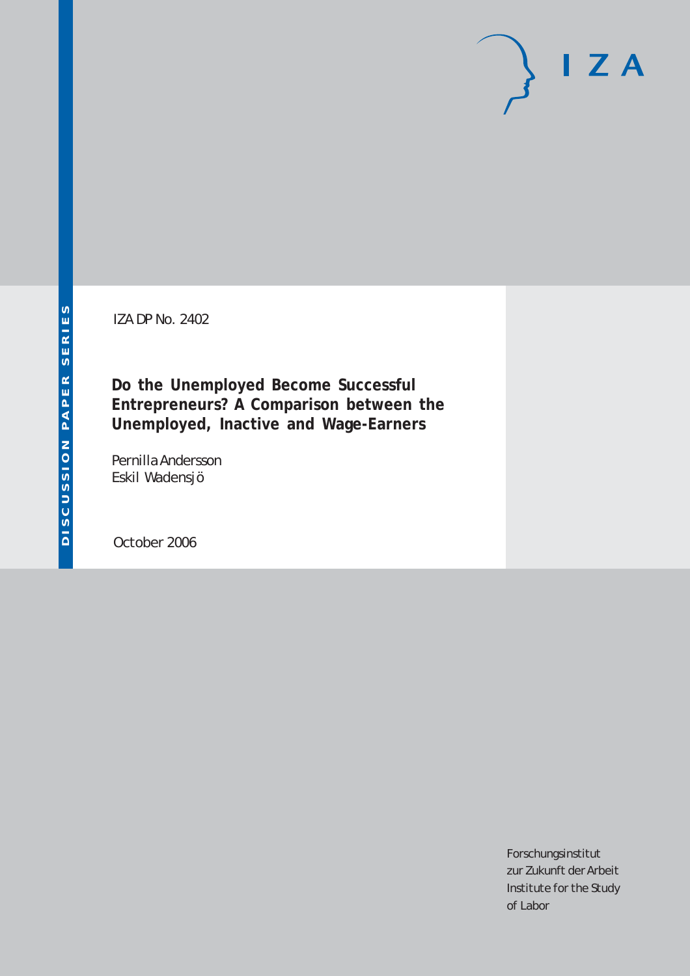# DISCUSSION PAPER SERIES **DISCUSSION PAPER SERIES**

IZA DP No. 2402

**Do the Unemployed Become Successful Entrepreneurs? A Comparison between the Unemployed, Inactive and Wage-Earners**

Pernilla Andersson Eskil Wadensjö

October 2006

Forschungsinstitut zur Zukunft der Arbeit Institute for the Study of Labor

 $I Z A$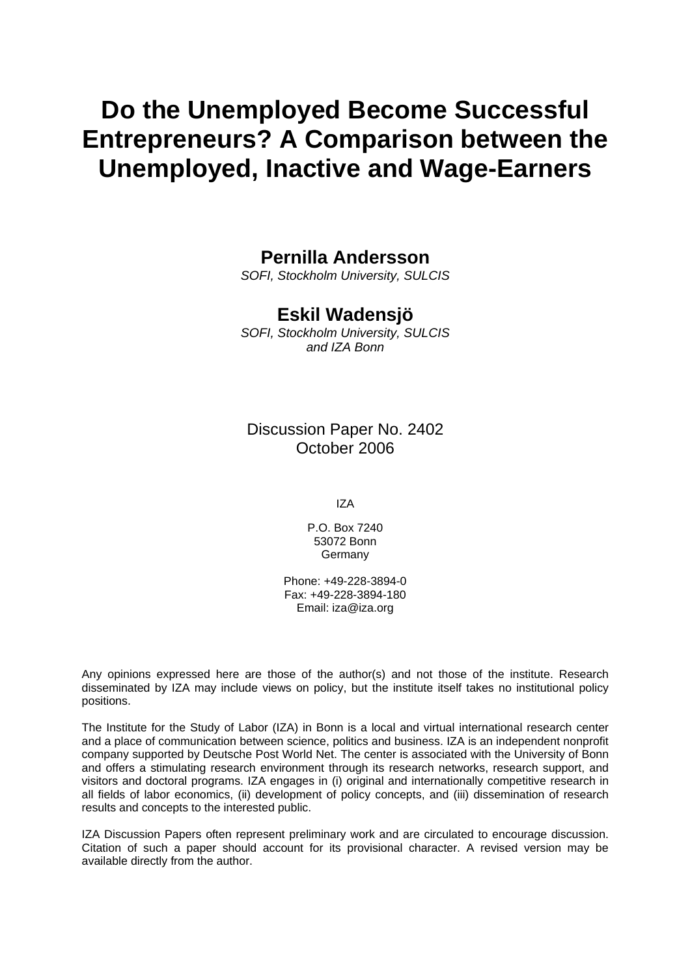# **Do the Unemployed Become Successful Entrepreneurs? A Comparison between the Unemployed, Inactive and Wage-Earners**

# **Pernilla Andersson**

*SOFI, Stockholm University, SULCIS* 

# **Eskil Wadensjö**

*SOFI, Stockholm University, SULCIS and IZA Bonn* 

Discussion Paper No. 2402 October 2006

IZA

P.O. Box 7240 53072 Bonn **Germany** 

Phone: +49-228-3894-0 Fax: +49-228-3894-180 Email: [iza@iza.org](mailto:iza@iza.org)

Any opinions expressed here are those of the author(s) and not those of the institute. Research disseminated by IZA may include views on policy, but the institute itself takes no institutional policy positions.

The Institute for the Study of Labor (IZA) in Bonn is a local and virtual international research center and a place of communication between science, politics and business. IZA is an independent nonprofit company supported by Deutsche Post World Net. The center is associated with the University of Bonn and offers a stimulating research environment through its research networks, research support, and visitors and doctoral programs. IZA engages in (i) original and internationally competitive research in all fields of labor economics, (ii) development of policy concepts, and (iii) dissemination of research results and concepts to the interested public.

IZA Discussion Papers often represent preliminary work and are circulated to encourage discussion. Citation of such a paper should account for its provisional character. A revised version may be available directly from the author.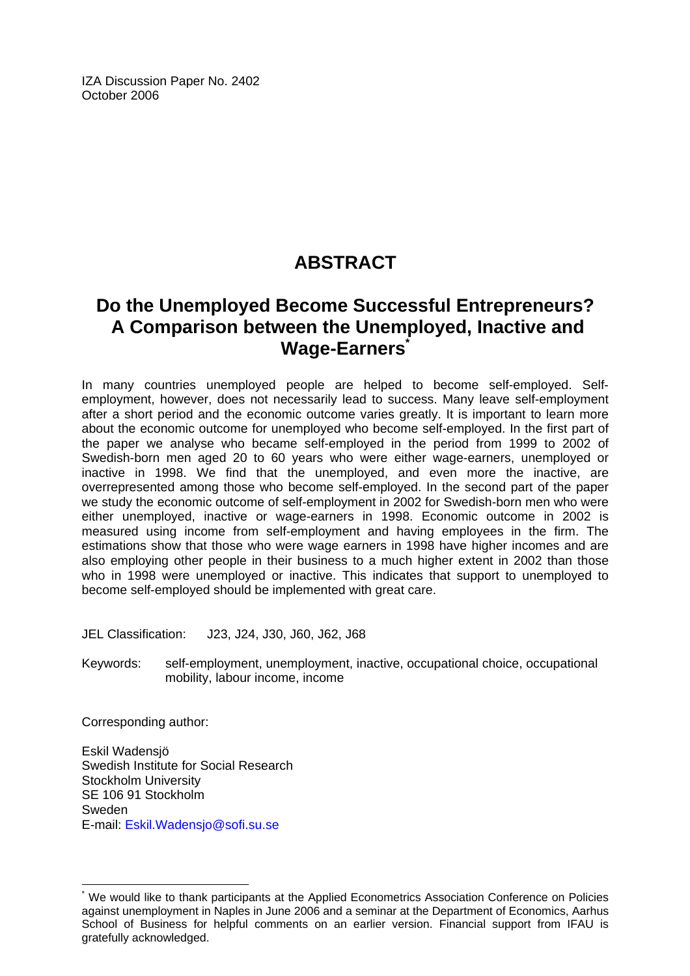IZA Discussion Paper No. 2402 October 2006

# **ABSTRACT**

# **Do the Unemployed Become Successful Entrepreneurs? A Comparison between the Unemployed, Inactive and Wage-Earners[\\*](#page-2-0)**

In many countries unemployed people are helped to become self-employed. Selfemployment, however, does not necessarily lead to success. Many leave self-employment after a short period and the economic outcome varies greatly. It is important to learn more about the economic outcome for unemployed who become self-employed. In the first part of the paper we analyse who became self-employed in the period from 1999 to 2002 of Swedish-born men aged 20 to 60 years who were either wage-earners, unemployed or inactive in 1998. We find that the unemployed, and even more the inactive, are overrepresented among those who become self-employed. In the second part of the paper we study the economic outcome of self-employment in 2002 for Swedish-born men who were either unemployed, inactive or wage-earners in 1998. Economic outcome in 2002 is measured using income from self-employment and having employees in the firm. The estimations show that those who were wage earners in 1998 have higher incomes and are also employing other people in their business to a much higher extent in 2002 than those who in 1998 were unemployed or inactive. This indicates that support to unemployed to become self-employed should be implemented with great care.

JEL Classification: J23, J24, J30, J60, J62, J68

Keywords: self-employment, unemployment, inactive, occupational choice, occupational mobility, labour income, income

Corresponding author:

 $\overline{a}$ 

Eskil Wadensjö Swedish Institute for Social Research Stockholm University SE 106 91 Stockholm Sweden E-mail: [Eskil.Wadensjo@sofi.su.se](mailto:Eskil.Wadensjo@sofi.su.se) 

<span id="page-2-0"></span><sup>\*</sup> We would like to thank participants at the Applied Econometrics Association Conference on Policies against unemployment in Naples in June 2006 and a seminar at the Department of Economics, Aarhus School of Business for helpful comments on an earlier version. Financial support from IFAU is gratefully acknowledged.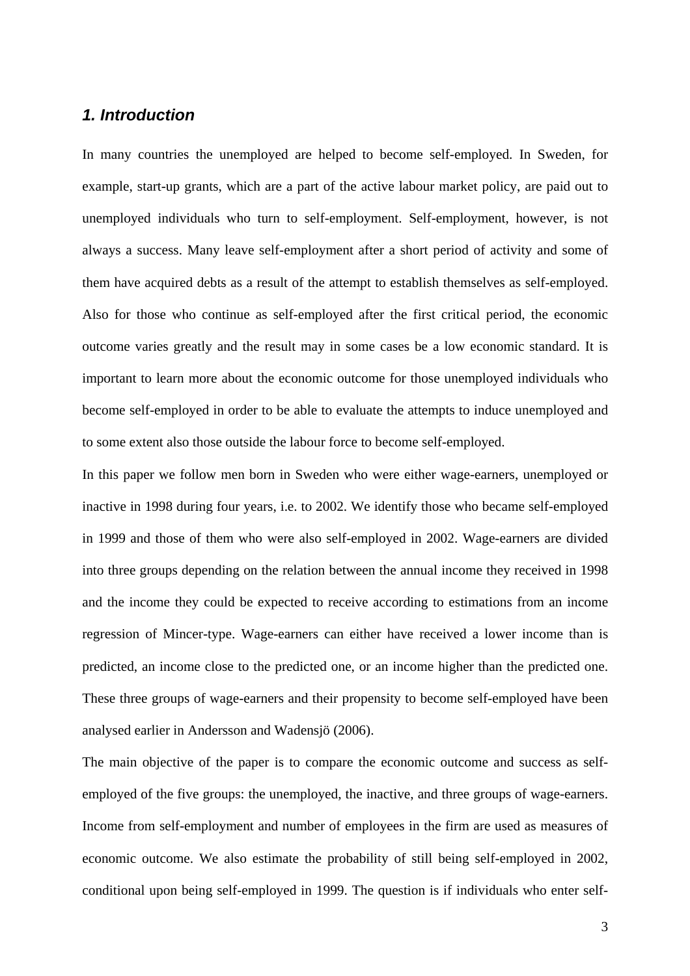### *1. Introduction*

In many countries the unemployed are helped to become self-employed. In Sweden, for example, start-up grants, which are a part of the active labour market policy, are paid out to unemployed individuals who turn to self-employment. Self-employment, however, is not always a success. Many leave self-employment after a short period of activity and some of them have acquired debts as a result of the attempt to establish themselves as self-employed. Also for those who continue as self-employed after the first critical period, the economic outcome varies greatly and the result may in some cases be a low economic standard. It is important to learn more about the economic outcome for those unemployed individuals who become self-employed in order to be able to evaluate the attempts to induce unemployed and to some extent also those outside the labour force to become self-employed.

In this paper we follow men born in Sweden who were either wage-earners, unemployed or inactive in 1998 during four years, i.e. to 2002. We identify those who became self-employed in 1999 and those of them who were also self-employed in 2002. Wage-earners are divided into three groups depending on the relation between the annual income they received in 1998 and the income they could be expected to receive according to estimations from an income regression of Mincer-type. Wage-earners can either have received a lower income than is predicted, an income close to the predicted one, or an income higher than the predicted one. These three groups of wage-earners and their propensity to become self-employed have been analysed earlier in Andersson and Wadensjö (2006).

The main objective of the paper is to compare the economic outcome and success as selfemployed of the five groups: the unemployed, the inactive, and three groups of wage-earners. Income from self-employment and number of employees in the firm are used as measures of economic outcome. We also estimate the probability of still being self-employed in 2002, conditional upon being self-employed in 1999. The question is if individuals who enter self-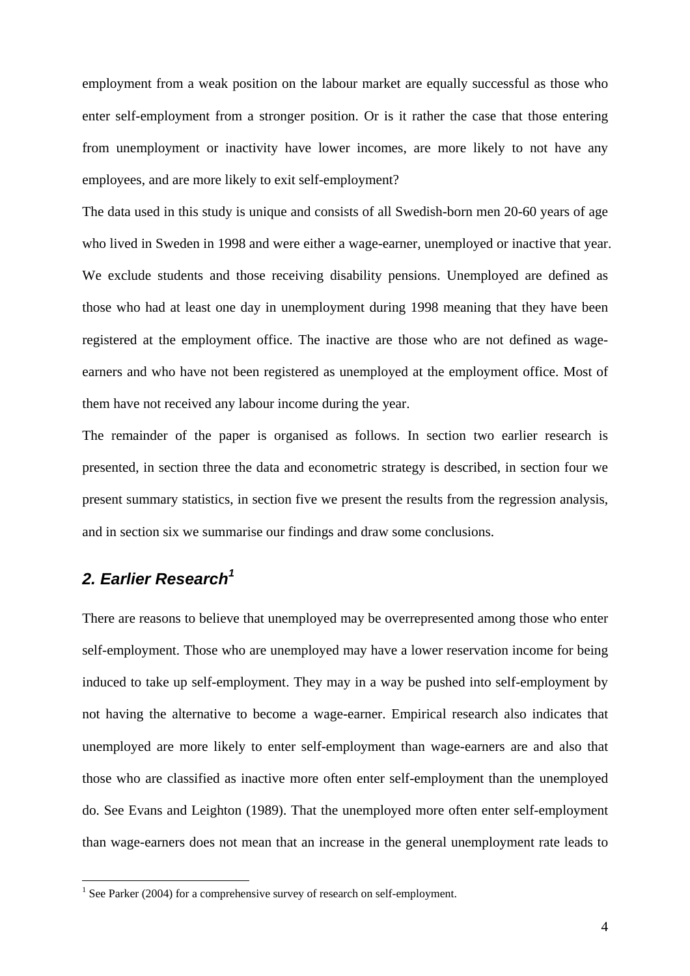employment from a weak position on the labour market are equally successful as those who enter self-employment from a stronger position. Or is it rather the case that those entering from unemployment or inactivity have lower incomes, are more likely to not have any employees, and are more likely to exit self-employment?

The data used in this study is unique and consists of all Swedish-born men 20-60 years of age who lived in Sweden in 1998 and were either a wage-earner, unemployed or inactive that year. We exclude students and those receiving disability pensions. Unemployed are defined as those who had at least one day in unemployment during 1998 meaning that they have been registered at the employment office. The inactive are those who are not defined as wageearners and who have not been registered as unemployed at the employment office. Most of them have not received any labour income during the year.

The remainder of the paper is organised as follows. In section two earlier research is presented, in section three the data and econometric strategy is described, in section four we present summary statistics, in section five we present the results from the regression analysis, and in section six we summarise our findings and draw some conclusions.

# *2. Earlier Research[1](#page-4-0)*

 $\overline{a}$ 

There are reasons to believe that unemployed may be overrepresented among those who enter self-employment. Those who are unemployed may have a lower reservation income for being induced to take up self-employment. They may in a way be pushed into self-employment by not having the alternative to become a wage-earner. Empirical research also indicates that unemployed are more likely to enter self-employment than wage-earners are and also that those who are classified as inactive more often enter self-employment than the unemployed do. See Evans and Leighton (1989). That the unemployed more often enter self-employment than wage-earners does not mean that an increase in the general unemployment rate leads to

<span id="page-4-0"></span><sup>&</sup>lt;sup>1</sup> See Parker (2004) for a comprehensive survey of research on self-employment.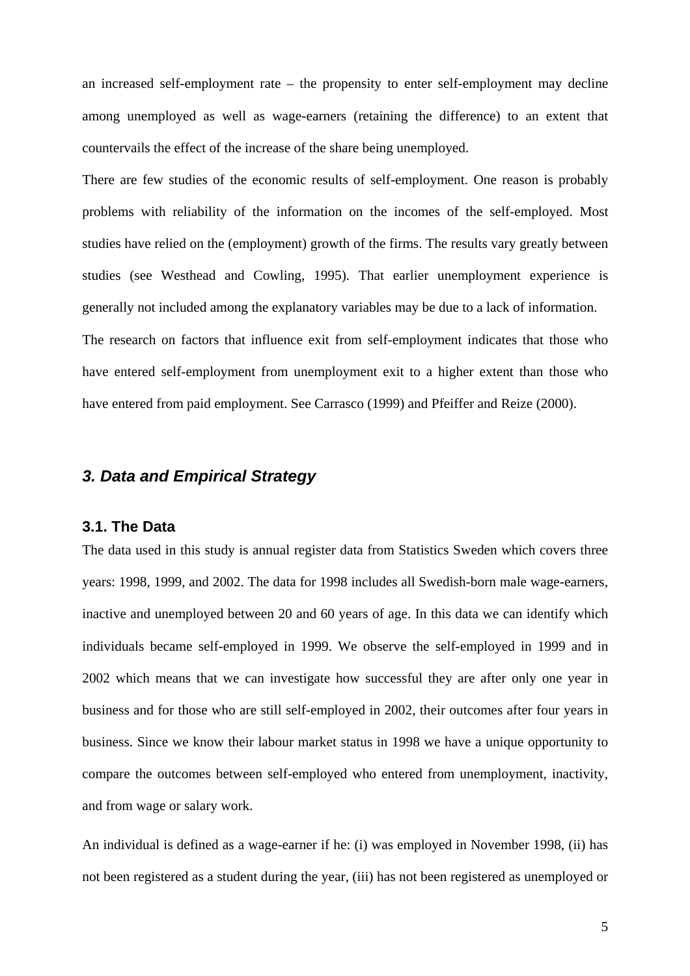an increased self-employment rate – the propensity to enter self-employment may decline among unemployed as well as wage-earners (retaining the difference) to an extent that countervails the effect of the increase of the share being unemployed.

There are few studies of the economic results of self-employment. One reason is probably problems with reliability of the information on the incomes of the self-employed. Most studies have relied on the (employment) growth of the firms. The results vary greatly between studies (see Westhead and Cowling, 1995). That earlier unemployment experience is generally not included among the explanatory variables may be due to a lack of information. The research on factors that influence exit from self-employment indicates that those who have entered self-employment from unemployment exit to a higher extent than those who have entered from paid employment. See Carrasco (1999) and Pfeiffer and Reize (2000).

### *3. Data and Empirical Strategy*

### **3.1. The Data**

The data used in this study is annual register data from Statistics Sweden which covers three years: 1998, 1999, and 2002. The data for 1998 includes all Swedish-born male wage-earners, inactive and unemployed between 20 and 60 years of age. In this data we can identify which individuals became self-employed in 1999. We observe the self-employed in 1999 and in 2002 which means that we can investigate how successful they are after only one year in business and for those who are still self-employed in 2002, their outcomes after four years in business. Since we know their labour market status in 1998 we have a unique opportunity to compare the outcomes between self-employed who entered from unemployment, inactivity, and from wage or salary work.

An individual is defined as a wage-earner if he: (i) was employed in November 1998, (ii) has not been registered as a student during the year, (iii) has not been registered as unemployed or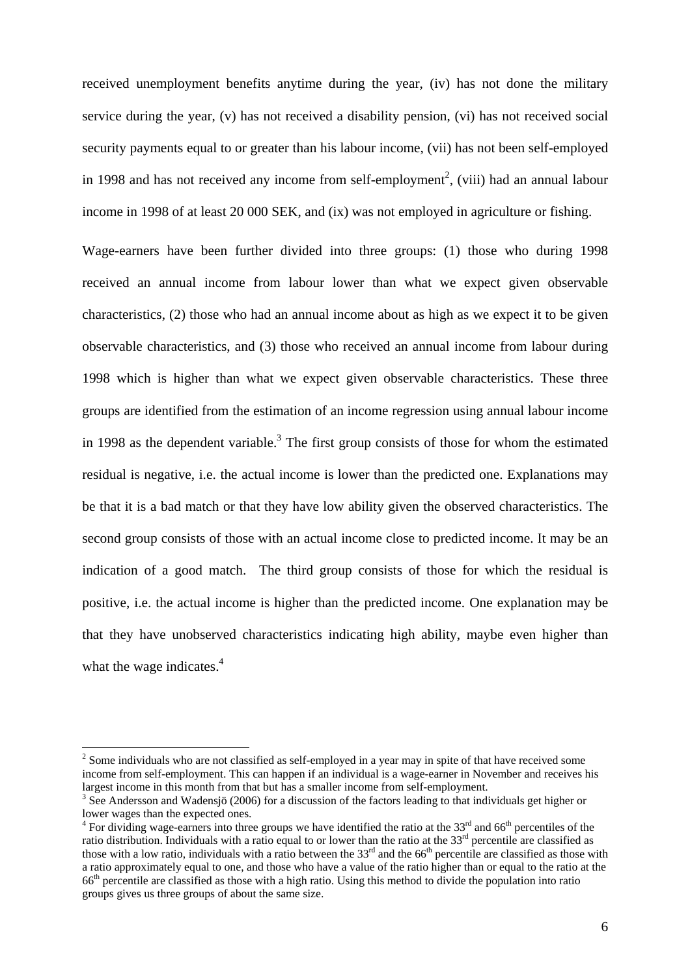received unemployment benefits anytime during the year, (iv) has not done the military service during the year, (v) has not received a disability pension, (vi) has not received social security payments equal to or greater than his labour income, (vii) has not been self-employed in 1998 and has not received any income from self-employment<sup>2</sup>[,](#page-6-0) (viii) had an annual labour income in 1998 of at least 20 000 SEK, and (ix) was not employed in agriculture or fishing.

Wage-earners have been further divided into three groups: (1) those who during 1998 received an annual income from labour lower than what we expect given observable characteristics, (2) those who had an annual income about as high as we expect it to be given observable characteristics, and (3) those who received an annual income from labour during 1998 which is higher than what we expect given observable characteristics. These three groups are identified from the estimation of an income regression using annual labour income in 1998 as the dependent variable.<sup>[3](#page-6-1)</sup> The first group consists of those for whom the estimated residual is negative, i.e. the actual income is lower than the predicted one. Explanations may be that it is a bad match or that they have low ability given the observed characteristics. The second group consists of those with an actual income close to predicted income. It may be an indication of a good match. The third group consists of those for which the residual is positive, i.e. the actual income is higher than the predicted income. One explanation may be that they have unobserved characteristics indicating high ability, maybe even higher than what the wage indicates. $4$ 

 $\overline{a}$ 

<span id="page-6-0"></span> $2^{2}$  Some individuals who are not classified as self-employed in a year may in spite of that have received some income from self-employment. This can happen if an individual is a wage-earner in November and receives his largest income in this month from that but has a smaller income from self-employment.<br><sup>3</sup> See Andersson and Wadensjö (2006) for a discussion of the factors leading to that individuals get higher or

<span id="page-6-1"></span>lower wages than the expected ones.

<span id="page-6-2"></span>For dividing wage-earners into three groups we have identified the ratio at the 33<sup>rd</sup> and 66<sup>th</sup> percentiles of the ratio distribution. Individuals with a ratio equal to or lower than the ratio at the  $33<sup>rd</sup>$  percentile are classified as those with a low ratio, individuals with a ratio between the  $33<sup>rd</sup>$  and the 66<sup>th</sup> percentile are classified as those with a ratio approximately equal to one, and those who have a value of the ratio higher than or equal to the ratio at the 66th percentile are classified as those with a high ratio. Using this method to divide the population into ratio groups gives us three groups of about the same size.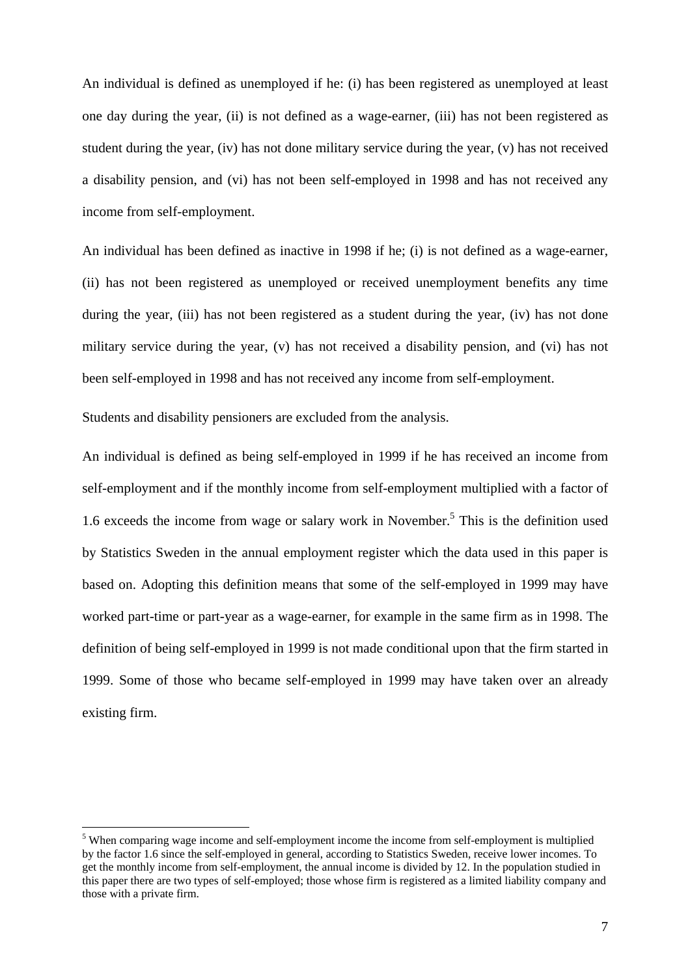An individual is defined as unemployed if he: (i) has been registered as unemployed at least one day during the year, (ii) is not defined as a wage-earner, (iii) has not been registered as student during the year, (iv) has not done military service during the year, (v) has not received a disability pension, and (vi) has not been self-employed in 1998 and has not received any income from self-employment.

An individual has been defined as inactive in 1998 if he; (i) is not defined as a wage-earner, (ii) has not been registered as unemployed or received unemployment benefits any time during the year, (iii) has not been registered as a student during the year, (iv) has not done military service during the year, (v) has not received a disability pension, and (vi) has not been self-employed in 1998 and has not received any income from self-employment.

Students and disability pensioners are excluded from the analysis.

 $\overline{a}$ 

An individual is defined as being self-employed in 1999 if he has received an income from self-employment and if the monthly income from self-employment multiplied with a factor of 1.6exceeds the income from wage or salary work in November.<sup>5</sup> This is the definition used by Statistics Sweden in the annual employment register which the data used in this paper is based on. Adopting this definition means that some of the self-employed in 1999 may have worked part-time or part-year as a wage-earner, for example in the same firm as in 1998. The definition of being self-employed in 1999 is not made conditional upon that the firm started in 1999. Some of those who became self-employed in 1999 may have taken over an already existing firm.

<span id="page-7-0"></span><sup>&</sup>lt;sup>5</sup> When comparing wage income and self-employment income the income from self-employment is multiplied by the factor 1.6 since the self-employed in general, according to Statistics Sweden, receive lower incomes. To get the monthly income from self-employment, the annual income is divided by 12. In the population studied in this paper there are two types of self-employed; those whose firm is registered as a limited liability company and those with a private firm.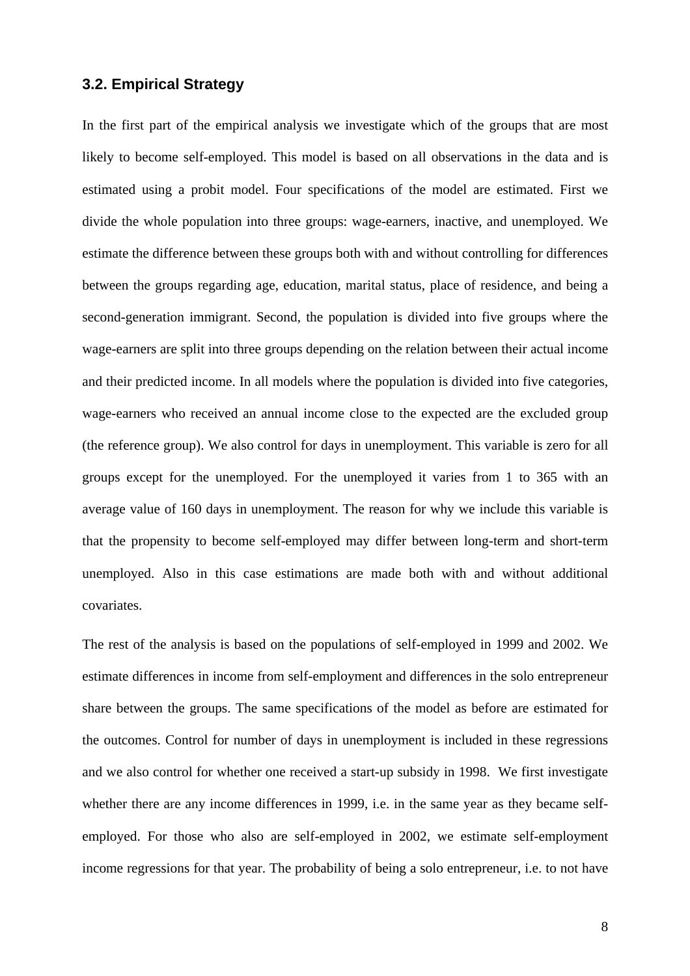### **3.2. Empirical Strategy**

In the first part of the empirical analysis we investigate which of the groups that are most likely to become self-employed. This model is based on all observations in the data and is estimated using a probit model. Four specifications of the model are estimated. First we divide the whole population into three groups: wage-earners, inactive, and unemployed. We estimate the difference between these groups both with and without controlling for differences between the groups regarding age, education, marital status, place of residence, and being a second-generation immigrant. Second, the population is divided into five groups where the wage-earners are split into three groups depending on the relation between their actual income and their predicted income. In all models where the population is divided into five categories, wage-earners who received an annual income close to the expected are the excluded group (the reference group). We also control for days in unemployment. This variable is zero for all groups except for the unemployed. For the unemployed it varies from 1 to 365 with an average value of 160 days in unemployment. The reason for why we include this variable is that the propensity to become self-employed may differ between long-term and short-term unemployed. Also in this case estimations are made both with and without additional covariates.

The rest of the analysis is based on the populations of self-employed in 1999 and 2002. We estimate differences in income from self-employment and differences in the solo entrepreneur share between the groups. The same specifications of the model as before are estimated for the outcomes. Control for number of days in unemployment is included in these regressions and we also control for whether one received a start-up subsidy in 1998. We first investigate whether there are any income differences in 1999, i.e. in the same year as they became selfemployed. For those who also are self-employed in 2002, we estimate self-employment income regressions for that year. The probability of being a solo entrepreneur, i.e. to not have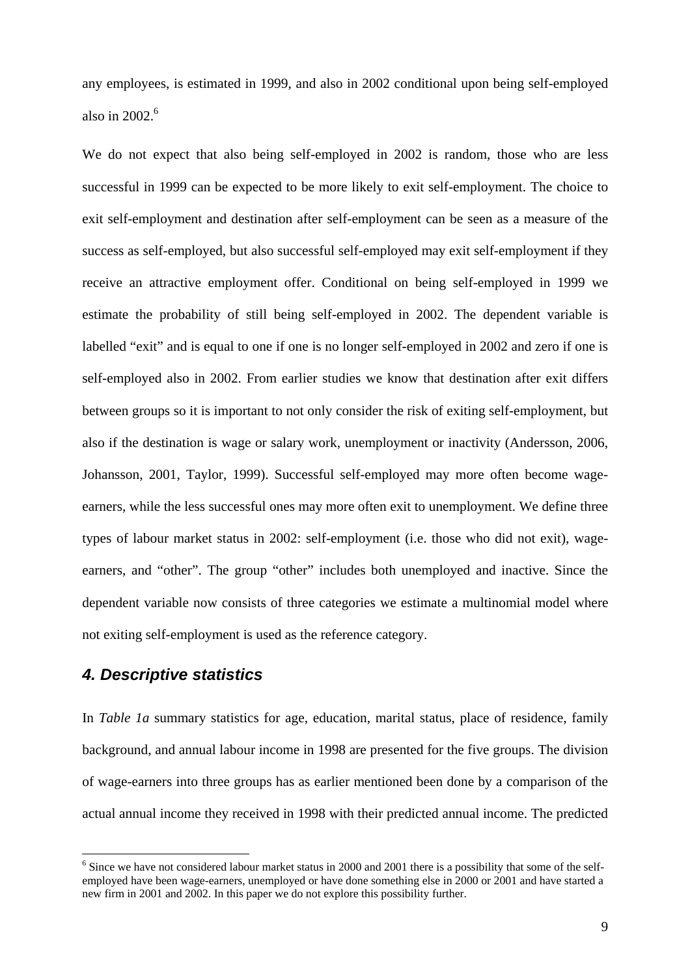any employees, is estimated in 1999, and also in 2002 conditional upon being self-employed also in 2002. $^6$  $^6$ 

We do not expect that also being self-employed in 2002 is random, those who are less successful in 1999 can be expected to be more likely to exit self-employment. The choice to exit self-employment and destination after self-employment can be seen as a measure of the success as self-employed, but also successful self-employed may exit self-employment if they receive an attractive employment offer. Conditional on being self-employed in 1999 we estimate the probability of still being self-employed in 2002. The dependent variable is labelled "exit" and is equal to one if one is no longer self-employed in 2002 and zero if one is self-employed also in 2002. From earlier studies we know that destination after exit differs between groups so it is important to not only consider the risk of exiting self-employment, but also if the destination is wage or salary work, unemployment or inactivity (Andersson, 2006, Johansson, 2001, Taylor, 1999). Successful self-employed may more often become wageearners, while the less successful ones may more often exit to unemployment. We define three types of labour market status in 2002: self-employment (i.e. those who did not exit), wageearners, and "other". The group "other" includes both unemployed and inactive. Since the dependent variable now consists of three categories we estimate a multinomial model where not exiting self-employment is used as the reference category.

### *4. Descriptive statistics*

 $\overline{a}$ 

In *Table 1a* summary statistics for age, education, marital status, place of residence, family background, and annual labour income in 1998 are presented for the five groups. The division of wage-earners into three groups has as earlier mentioned been done by a comparison of the actual annual income they received in 1998 with their predicted annual income. The predicted

<span id="page-9-0"></span><sup>&</sup>lt;sup>6</sup> Since we have not considered labour market status in 2000 and 2001 there is a possibility that some of the selfemployed have been wage-earners, unemployed or have done something else in 2000 or 2001 and have started a new firm in 2001 and 2002. In this paper we do not explore this possibility further.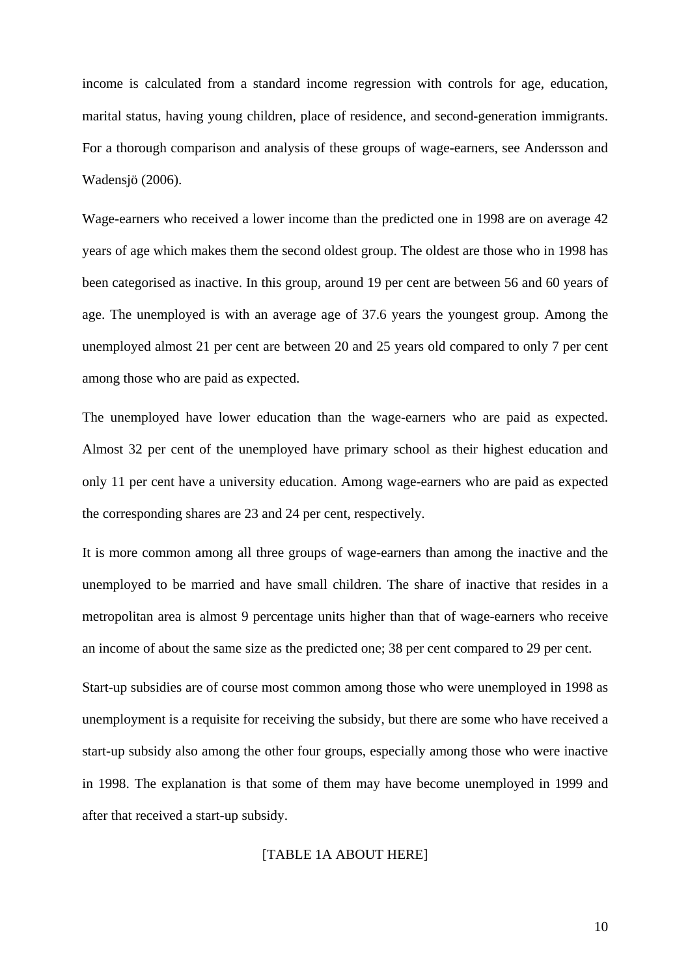income is calculated from a standard income regression with controls for age, education, marital status, having young children, place of residence, and second-generation immigrants. For a thorough comparison and analysis of these groups of wage-earners, see Andersson and Wadensjö (2006).

Wage-earners who received a lower income than the predicted one in 1998 are on average 42 years of age which makes them the second oldest group. The oldest are those who in 1998 has been categorised as inactive. In this group, around 19 per cent are between 56 and 60 years of age. The unemployed is with an average age of 37.6 years the youngest group. Among the unemployed almost 21 per cent are between 20 and 25 years old compared to only 7 per cent among those who are paid as expected.

The unemployed have lower education than the wage-earners who are paid as expected. Almost 32 per cent of the unemployed have primary school as their highest education and only 11 per cent have a university education. Among wage-earners who are paid as expected the corresponding shares are 23 and 24 per cent, respectively.

It is more common among all three groups of wage-earners than among the inactive and the unemployed to be married and have small children. The share of inactive that resides in a metropolitan area is almost 9 percentage units higher than that of wage-earners who receive an income of about the same size as the predicted one; 38 per cent compared to 29 per cent.

Start-up subsidies are of course most common among those who were unemployed in 1998 as unemployment is a requisite for receiving the subsidy, but there are some who have received a start-up subsidy also among the other four groups, especially among those who were inactive in 1998. The explanation is that some of them may have become unemployed in 1999 and after that received a start-up subsidy.

### [TABLE 1A ABOUT HERE]

10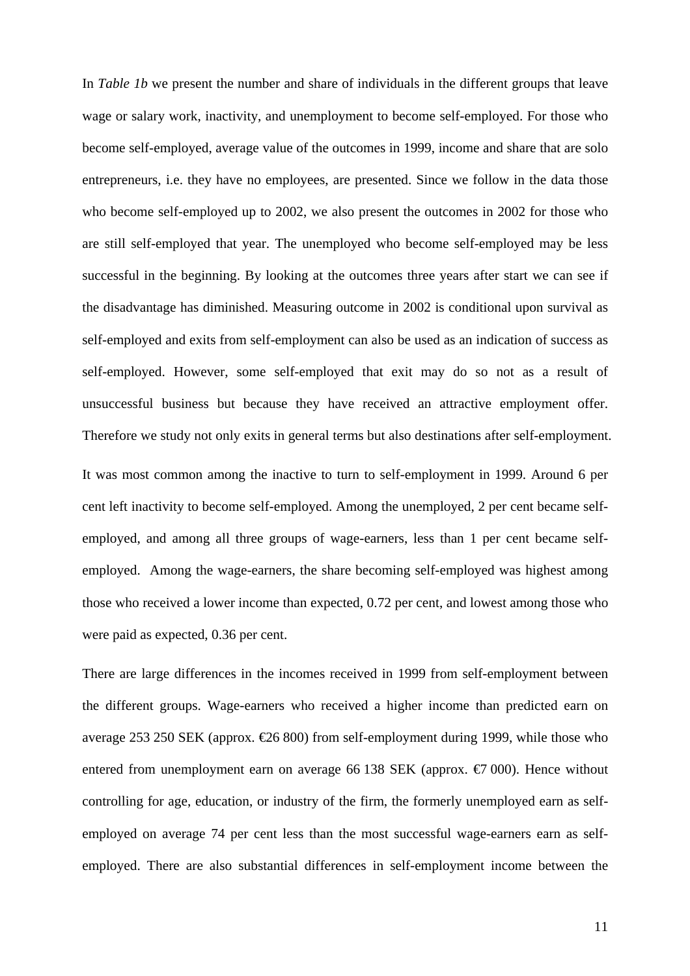In *Table 1b* we present the number and share of individuals in the different groups that leave wage or salary work, inactivity, and unemployment to become self-employed. For those who become self-employed, average value of the outcomes in 1999, income and share that are solo entrepreneurs, i.e. they have no employees, are presented. Since we follow in the data those who become self-employed up to 2002, we also present the outcomes in 2002 for those who are still self-employed that year. The unemployed who become self-employed may be less successful in the beginning. By looking at the outcomes three years after start we can see if the disadvantage has diminished. Measuring outcome in 2002 is conditional upon survival as self-employed and exits from self-employment can also be used as an indication of success as self-employed. However, some self-employed that exit may do so not as a result of unsuccessful business but because they have received an attractive employment offer. Therefore we study not only exits in general terms but also destinations after self-employment. It was most common among the inactive to turn to self-employment in 1999. Around 6 per cent left inactivity to become self-employed. Among the unemployed, 2 per cent became selfemployed, and among all three groups of wage-earners, less than 1 per cent became selfemployed. Among the wage-earners, the share becoming self-employed was highest among those who received a lower income than expected, 0.72 per cent, and lowest among those who were paid as expected, 0.36 per cent.

There are large differences in the incomes received in 1999 from self-employment between the different groups. Wage-earners who received a higher income than predicted earn on average 253 250 SEK (approx.  $\text{\textsterling}6800$ ) from self-employment during 1999, while those who entered from unemployment earn on average 66 138 SEK (approx.  $\epsilon$ 7 000). Hence without controlling for age, education, or industry of the firm, the formerly unemployed earn as selfemployed on average 74 per cent less than the most successful wage-earners earn as selfemployed. There are also substantial differences in self-employment income between the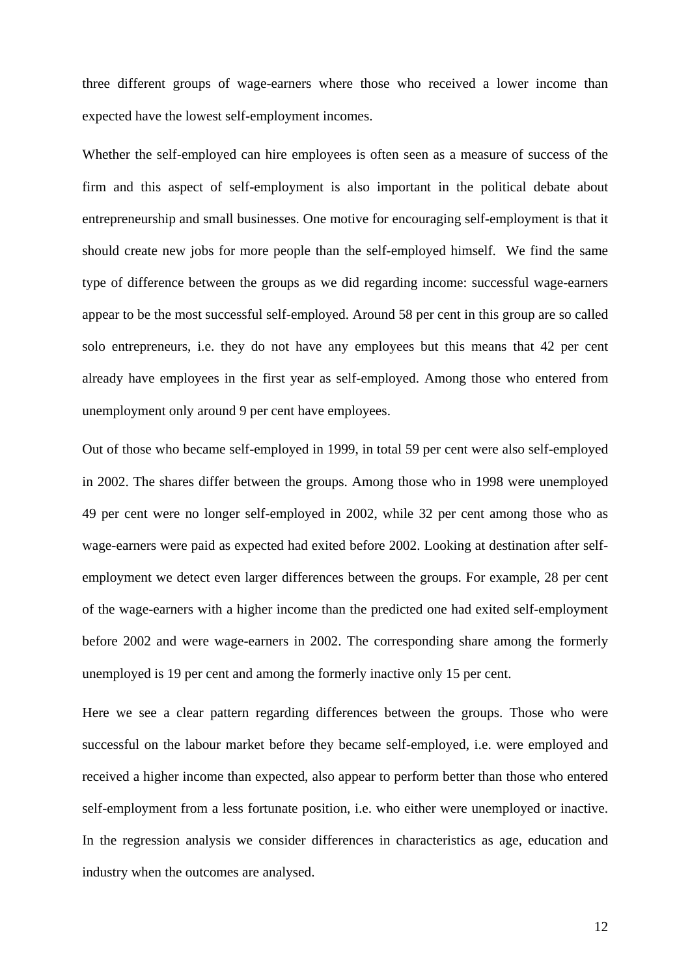three different groups of wage-earners where those who received a lower income than expected have the lowest self-employment incomes.

Whether the self-employed can hire employees is often seen as a measure of success of the firm and this aspect of self-employment is also important in the political debate about entrepreneurship and small businesses. One motive for encouraging self-employment is that it should create new jobs for more people than the self-employed himself. We find the same type of difference between the groups as we did regarding income: successful wage-earners appear to be the most successful self-employed. Around 58 per cent in this group are so called solo entrepreneurs, i.e. they do not have any employees but this means that 42 per cent already have employees in the first year as self-employed. Among those who entered from unemployment only around 9 per cent have employees.

Out of those who became self-employed in 1999, in total 59 per cent were also self-employed in 2002. The shares differ between the groups. Among those who in 1998 were unemployed 49 per cent were no longer self-employed in 2002, while 32 per cent among those who as wage-earners were paid as expected had exited before 2002. Looking at destination after selfemployment we detect even larger differences between the groups. For example, 28 per cent of the wage-earners with a higher income than the predicted one had exited self-employment before 2002 and were wage-earners in 2002. The corresponding share among the formerly unemployed is 19 per cent and among the formerly inactive only 15 per cent.

Here we see a clear pattern regarding differences between the groups. Those who were successful on the labour market before they became self-employed, i.e. were employed and received a higher income than expected, also appear to perform better than those who entered self-employment from a less fortunate position, i.e. who either were unemployed or inactive. In the regression analysis we consider differences in characteristics as age, education and industry when the outcomes are analysed.

12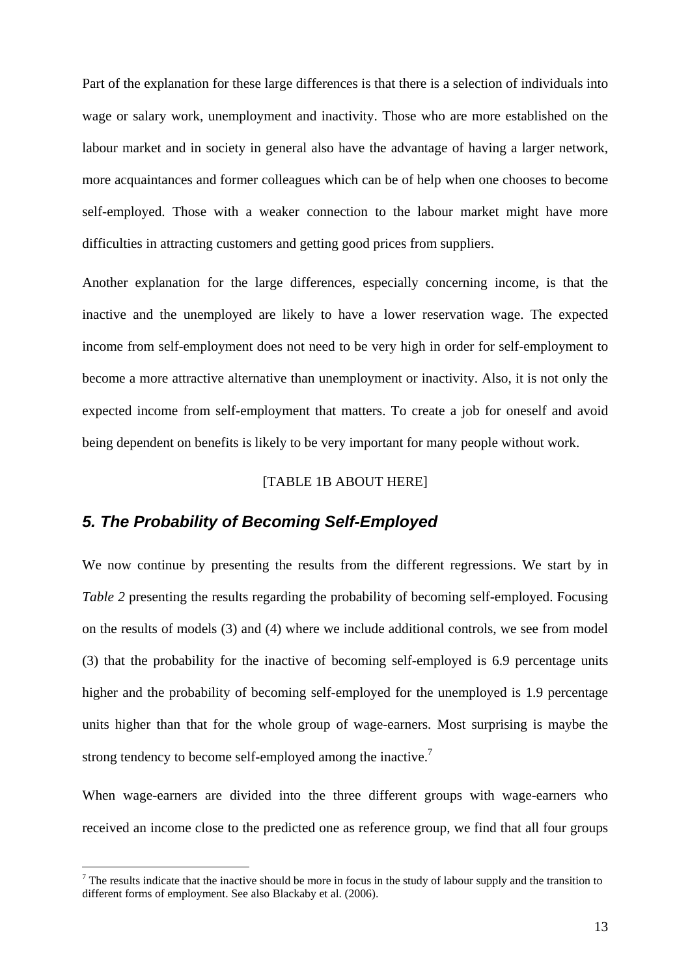Part of the explanation for these large differences is that there is a selection of individuals into wage or salary work, unemployment and inactivity. Those who are more established on the labour market and in society in general also have the advantage of having a larger network, more acquaintances and former colleagues which can be of help when one chooses to become self-employed. Those with a weaker connection to the labour market might have more difficulties in attracting customers and getting good prices from suppliers.

Another explanation for the large differences, especially concerning income, is that the inactive and the unemployed are likely to have a lower reservation wage. The expected income from self-employment does not need to be very high in order for self-employment to become a more attractive alternative than unemployment or inactivity. Also, it is not only the expected income from self-employment that matters. To create a job for oneself and avoid being dependent on benefits is likely to be very important for many people without work.

### [TABLE 1B ABOUT HERE]

### *5. The Probability of Becoming Self-Employed*

 $\overline{a}$ 

We now continue by presenting the results from the different regressions. We start by in *Table 2* presenting the results regarding the probability of becoming self-employed. Focusing on the results of models (3) and (4) where we include additional controls, we see from model (3) that the probability for the inactive of becoming self-employed is 6.9 percentage units higher and the probability of becoming self-employed for the unemployed is 1.9 percentage units higher than that for the whole group of wage-earners. Most surprising is maybe the strong tendency to become self-employed among the inactive.<sup>[7](#page-13-0)</sup>

When wage-earners are divided into the three different groups with wage-earners who received an income close to the predicted one as reference group, we find that all four groups

<span id="page-13-0"></span> $<sup>7</sup>$  The results indicate that the inactive should be more in focus in the study of labour supply and the transition to</sup> different forms of employment. See also Blackaby et al. (2006).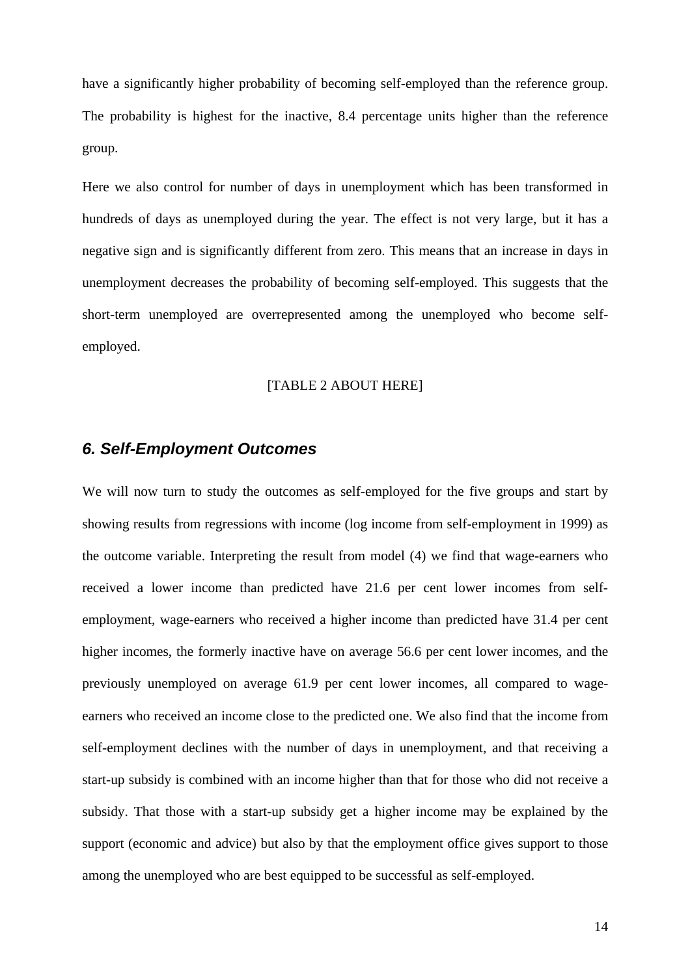have a significantly higher probability of becoming self-employed than the reference group. The probability is highest for the inactive, 8.4 percentage units higher than the reference group.

Here we also control for number of days in unemployment which has been transformed in hundreds of days as unemployed during the year. The effect is not very large, but it has a negative sign and is significantly different from zero. This means that an increase in days in unemployment decreases the probability of becoming self-employed. This suggests that the short-term unemployed are overrepresented among the unemployed who become selfemployed.

### [TABLE 2 ABOUT HERE]

### *6. Self-Employment Outcomes*

We will now turn to study the outcomes as self-employed for the five groups and start by showing results from regressions with income (log income from self-employment in 1999) as the outcome variable. Interpreting the result from model (4) we find that wage-earners who received a lower income than predicted have 21.6 per cent lower incomes from selfemployment, wage-earners who received a higher income than predicted have 31.4 per cent higher incomes, the formerly inactive have on average 56.6 per cent lower incomes, and the previously unemployed on average 61.9 per cent lower incomes, all compared to wageearners who received an income close to the predicted one. We also find that the income from self-employment declines with the number of days in unemployment, and that receiving a start-up subsidy is combined with an income higher than that for those who did not receive a subsidy. That those with a start-up subsidy get a higher income may be explained by the support (economic and advice) but also by that the employment office gives support to those among the unemployed who are best equipped to be successful as self-employed.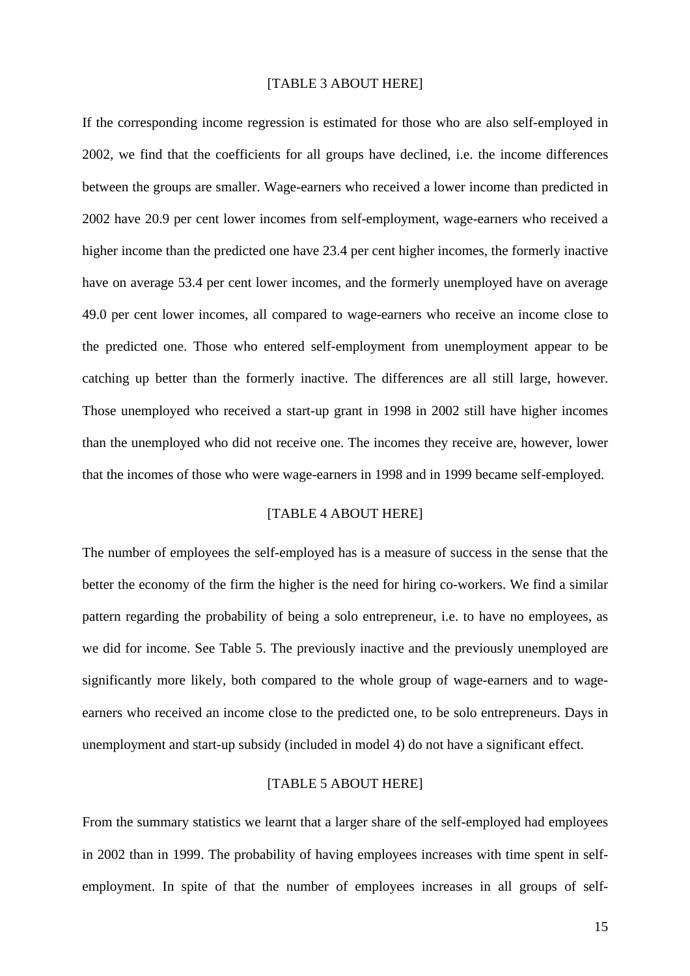### [TABLE 3 ABOUT HERE]

If the corresponding income regression is estimated for those who are also self-employed in 2002, we find that the coefficients for all groups have declined, i.e. the income differences between the groups are smaller. Wage-earners who received a lower income than predicted in 2002 have 20.9 per cent lower incomes from self-employment, wage-earners who received a higher income than the predicted one have 23.4 per cent higher incomes, the formerly inactive have on average 53.4 per cent lower incomes, and the formerly unemployed have on average 49.0 per cent lower incomes, all compared to wage-earners who receive an income close to the predicted one. Those who entered self-employment from unemployment appear to be catching up better than the formerly inactive. The differences are all still large, however. Those unemployed who received a start-up grant in 1998 in 2002 still have higher incomes than the unemployed who did not receive one. The incomes they receive are, however, lower that the incomes of those who were wage-earners in 1998 and in 1999 became self-employed.

### [TABLE 4 ABOUT HERE]

The number of employees the self-employed has is a measure of success in the sense that the better the economy of the firm the higher is the need for hiring co-workers. We find a similar pattern regarding the probability of being a solo entrepreneur, i.e. to have no employees, as we did for income. See Table 5. The previously inactive and the previously unemployed are significantly more likely, both compared to the whole group of wage-earners and to wageearners who received an income close to the predicted one, to be solo entrepreneurs. Days in unemployment and start-up subsidy (included in model 4) do not have a significant effect.

### [TABLE 5 ABOUT HERE]

From the summary statistics we learnt that a larger share of the self-employed had employees in 2002 than in 1999. The probability of having employees increases with time spent in selfemployment. In spite of that the number of employees increases in all groups of self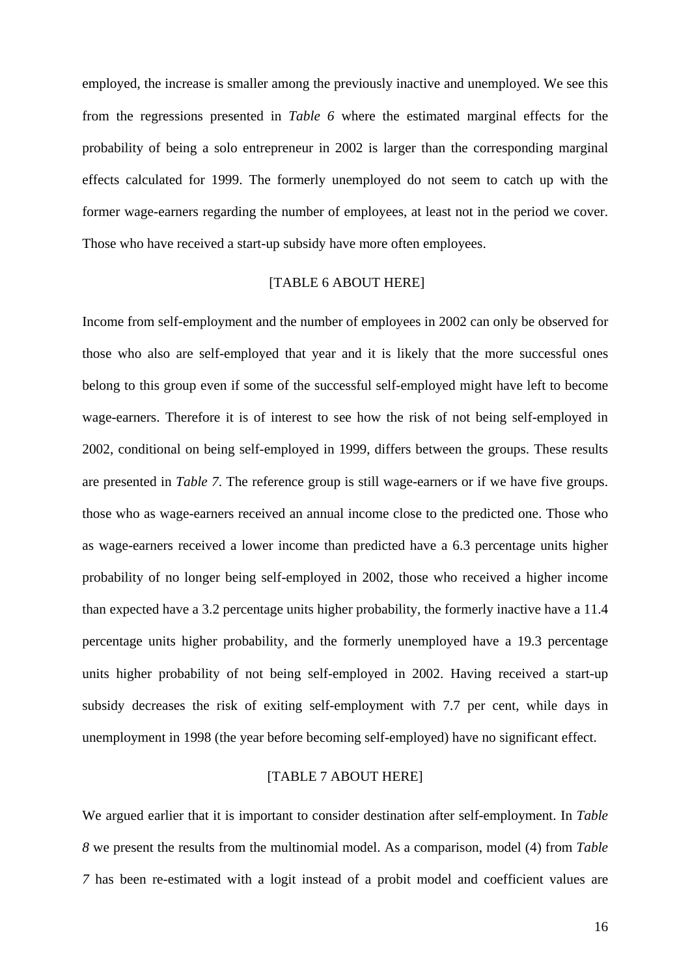employed, the increase is smaller among the previously inactive and unemployed. We see this from the regressions presented in *Table 6* where the estimated marginal effects for the probability of being a solo entrepreneur in 2002 is larger than the corresponding marginal effects calculated for 1999. The formerly unemployed do not seem to catch up with the former wage-earners regarding the number of employees, at least not in the period we cover. Those who have received a start-up subsidy have more often employees.

### [TABLE 6 ABOUT HERE]

Income from self-employment and the number of employees in 2002 can only be observed for those who also are self-employed that year and it is likely that the more successful ones belong to this group even if some of the successful self-employed might have left to become wage-earners. Therefore it is of interest to see how the risk of not being self-employed in 2002, conditional on being self-employed in 1999, differs between the groups. These results are presented in *Table 7*. The reference group is still wage-earners or if we have five groups. those who as wage-earners received an annual income close to the predicted one. Those who as wage-earners received a lower income than predicted have a 6.3 percentage units higher probability of no longer being self-employed in 2002, those who received a higher income than expected have a 3.2 percentage units higher probability, the formerly inactive have a 11.4 percentage units higher probability, and the formerly unemployed have a 19.3 percentage units higher probability of not being self-employed in 2002. Having received a start-up subsidy decreases the risk of exiting self-employment with 7.7 per cent, while days in unemployment in 1998 (the year before becoming self-employed) have no significant effect.

### [TABLE 7 ABOUT HERE]

We argued earlier that it is important to consider destination after self-employment. In *Table 8* we present the results from the multinomial model. As a comparison, model (4) from *Table 7* has been re-estimated with a logit instead of a probit model and coefficient values are

16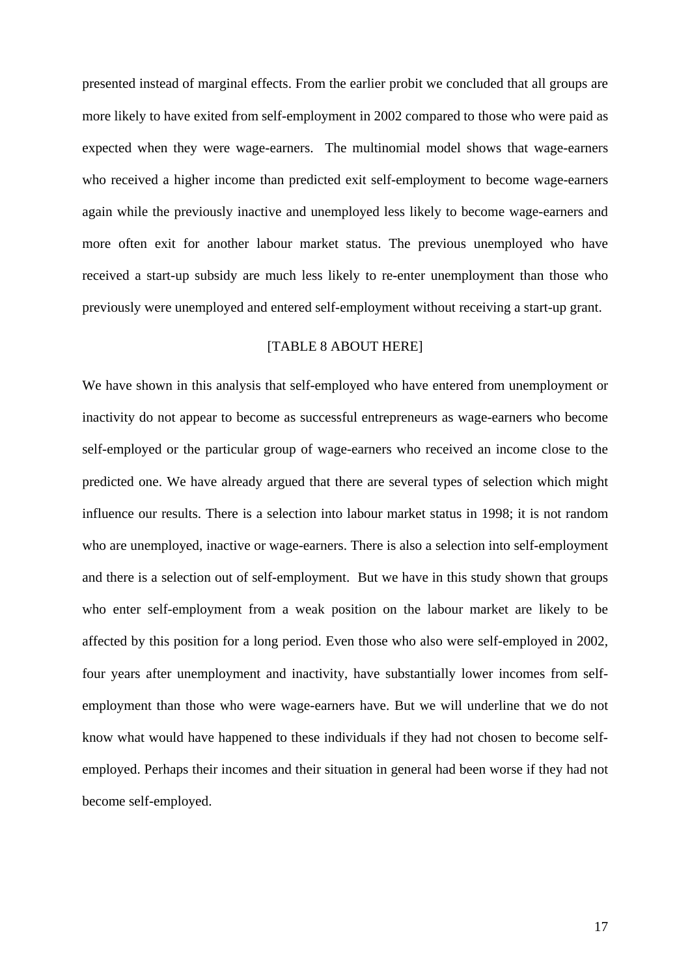presented instead of marginal effects. From the earlier probit we concluded that all groups are more likely to have exited from self-employment in 2002 compared to those who were paid as expected when they were wage-earners. The multinomial model shows that wage-earners who received a higher income than predicted exit self-employment to become wage-earners again while the previously inactive and unemployed less likely to become wage-earners and more often exit for another labour market status. The previous unemployed who have received a start-up subsidy are much less likely to re-enter unemployment than those who previously were unemployed and entered self-employment without receiving a start-up grant.

### [TABLE 8 ABOUT HERE]

We have shown in this analysis that self-employed who have entered from unemployment or inactivity do not appear to become as successful entrepreneurs as wage-earners who become self-employed or the particular group of wage-earners who received an income close to the predicted one. We have already argued that there are several types of selection which might influence our results. There is a selection into labour market status in 1998; it is not random who are unemployed, inactive or wage-earners. There is also a selection into self-employment and there is a selection out of self-employment. But we have in this study shown that groups who enter self-employment from a weak position on the labour market are likely to be affected by this position for a long period. Even those who also were self-employed in 2002, four years after unemployment and inactivity, have substantially lower incomes from selfemployment than those who were wage-earners have. But we will underline that we do not know what would have happened to these individuals if they had not chosen to become selfemployed. Perhaps their incomes and their situation in general had been worse if they had not become self-employed.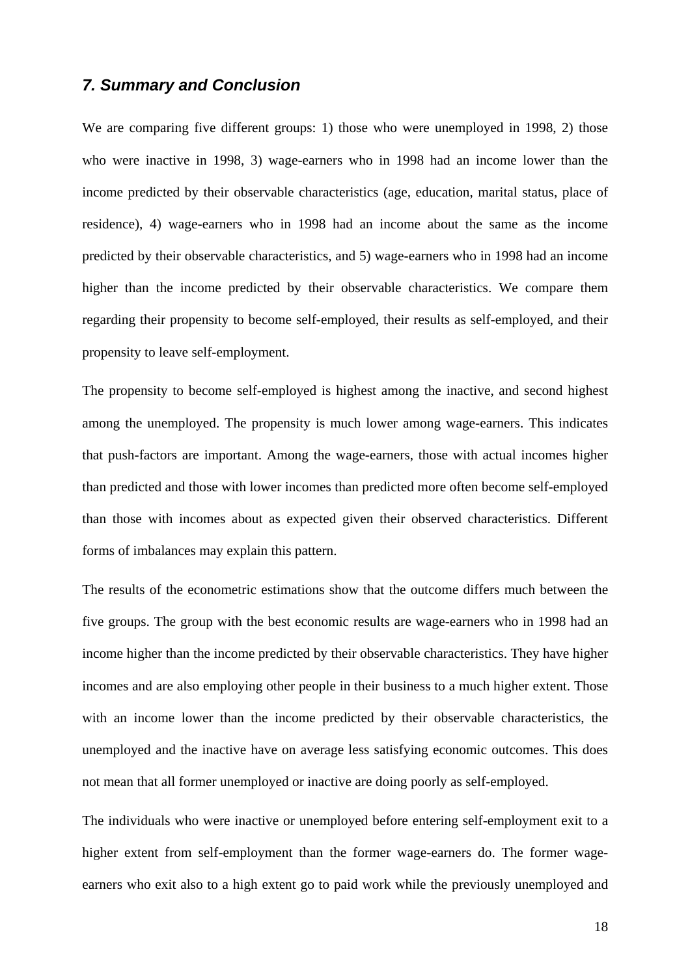# *7. Summary and Conclusion*

We are comparing five different groups: 1) those who were unemployed in 1998, 2) those who were inactive in 1998, 3) wage-earners who in 1998 had an income lower than the income predicted by their observable characteristics (age, education, marital status, place of residence), 4) wage-earners who in 1998 had an income about the same as the income predicted by their observable characteristics, and 5) wage-earners who in 1998 had an income higher than the income predicted by their observable characteristics. We compare them regarding their propensity to become self-employed, their results as self-employed, and their propensity to leave self-employment.

The propensity to become self-employed is highest among the inactive, and second highest among the unemployed. The propensity is much lower among wage-earners. This indicates that push-factors are important. Among the wage-earners, those with actual incomes higher than predicted and those with lower incomes than predicted more often become self-employed than those with incomes about as expected given their observed characteristics. Different forms of imbalances may explain this pattern.

The results of the econometric estimations show that the outcome differs much between the five groups. The group with the best economic results are wage-earners who in 1998 had an income higher than the income predicted by their observable characteristics. They have higher incomes and are also employing other people in their business to a much higher extent. Those with an income lower than the income predicted by their observable characteristics, the unemployed and the inactive have on average less satisfying economic outcomes. This does not mean that all former unemployed or inactive are doing poorly as self-employed.

The individuals who were inactive or unemployed before entering self-employment exit to a higher extent from self-employment than the former wage-earners do. The former wageearners who exit also to a high extent go to paid work while the previously unemployed and

18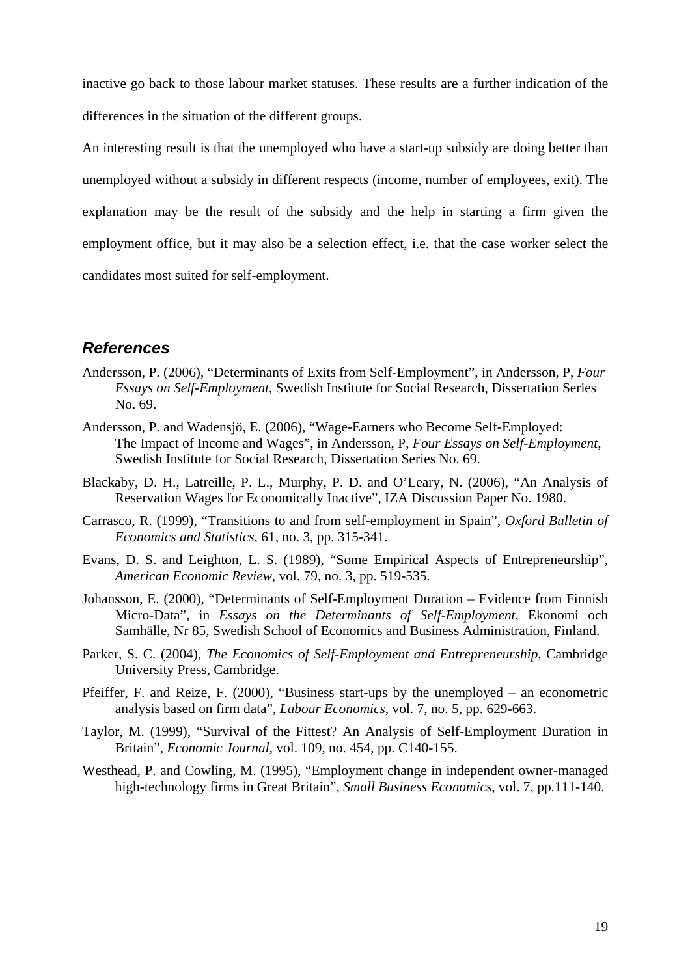inactive go back to those labour market statuses. These results are a further indication of the differences in the situation of the different groups.

An interesting result is that the unemployed who have a start-up subsidy are doing better than unemployed without a subsidy in different respects (income, number of employees, exit). The explanation may be the result of the subsidy and the help in starting a firm given the employment office, but it may also be a selection effect, i.e. that the case worker select the candidates most suited for self-employment.

# *References*

- Andersson, P. (2006), "Determinants of Exits from Self-Employment", in Andersson, P, *Four Essays on Self-Employment*, Swedish Institute for Social Research, Dissertation Series No. 69.
- Andersson, P. and Wadensjö, E. (2006), "Wage-Earners who Become Self-Employed: The Impact of Income and Wages", in Andersson, P, *Four Essays on Self-Employment*, Swedish Institute for Social Research, Dissertation Series No. 69.
- Blackaby, D. H., Latreille, P. L., Murphy, P. D. and O'Leary, N. (2006), "An Analysis of Reservation Wages for Economically Inactive", IZA Discussion Paper No. 1980.
- Carrasco, R. (1999), "Transitions to and from self-employment in Spain", *Oxford Bulletin of Economics and Statistics*, 61, no. 3, pp. 315-341.
- Evans, D. S. and Leighton, L. S. (1989), "Some Empirical Aspects of Entrepreneurship", *American Economic Review*, vol. 79, no. 3, pp. 519-535.
- Johansson, E. (2000), "Determinants of Self-Employment Duration Evidence from Finnish Micro-Data", in *Essays on the Determinants of Self-Employment*, Ekonomi och Samhälle, Nr 85, Swedish School of Economics and Business Administration, Finland.
- Parker, S. C. (2004), *The Economics of Self-Employment and Entrepreneurship*, Cambridge University Press, Cambridge.
- Pfeiffer, F. and Reize, F. (2000), "Business start-ups by the unemployed an econometric analysis based on firm data", *Labour Economics*, vol. 7, no. 5, pp. 629-663.
- Taylor, M. (1999), "Survival of the Fittest? An Analysis of Self-Employment Duration in Britain", *Economic Journal*, vol. 109, no. 454, pp. C140-155.
- Westhead, P. and Cowling, M. (1995), "Employment change in independent owner-managed high-technology firms in Great Britain", *Small Business Economics*, vol. 7, pp.111-140.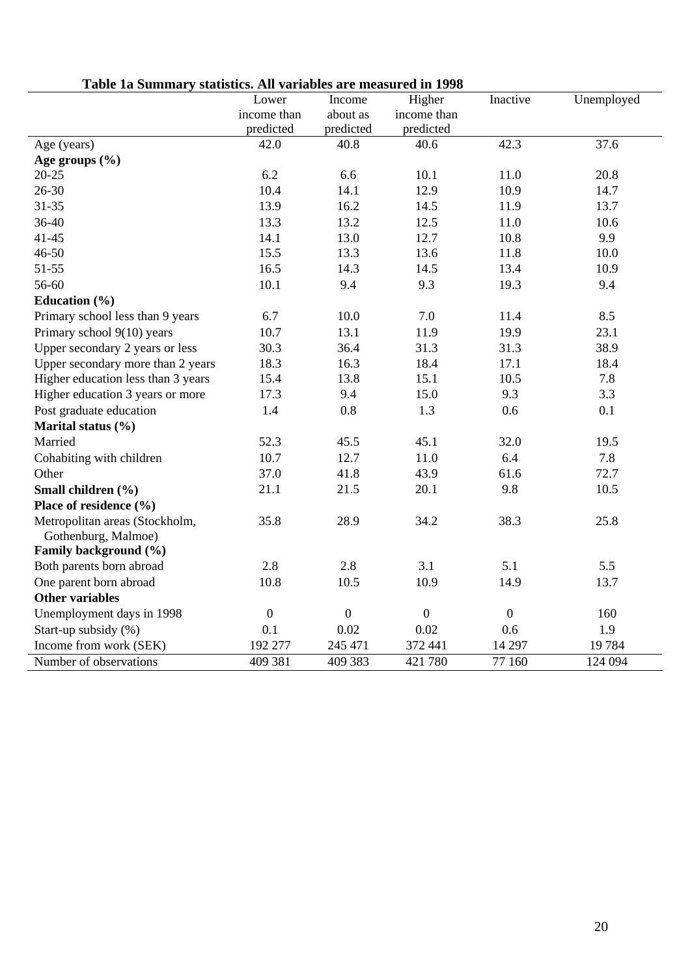| Table 1a Summary statistics. All variables are measured in 1998 |  |  |  |  |  |
|-----------------------------------------------------------------|--|--|--|--|--|
|-----------------------------------------------------------------|--|--|--|--|--|

| таріс та данніцат у                | $\frac{1}{2}$ statistics. The variables are incastrical in 1990<br>Lower | Income       | Higher       | Inactive       | Unemployed |
|------------------------------------|--------------------------------------------------------------------------|--------------|--------------|----------------|------------|
|                                    | income than                                                              | about as     | income than  |                |            |
|                                    | predicted                                                                | predicted    | predicted    |                |            |
| Age (years)                        | 42.0                                                                     | 40.8         | 40.6         | 42.3           | 37.6       |
| Age groups $(\% )$                 |                                                                          |              |              |                |            |
| $20 - 25$                          | 6.2                                                                      | 6.6          | 10.1         | 11.0           | 20.8       |
| $26 - 30$                          | 10.4                                                                     | 14.1         | 12.9         | 10.9           | 14.7       |
| $31 - 35$                          | 13.9                                                                     | 16.2         | 14.5         | 11.9           | 13.7       |
| 36-40                              | 13.3                                                                     | 13.2         | 12.5         | 11.0           | 10.6       |
| $41 - 45$                          | 14.1                                                                     | 13.0         | 12.7         | 10.8           | 9.9        |
| $46 - 50$                          | 15.5                                                                     | 13.3         | 13.6         | 11.8           | 10.0       |
| $51 - 55$                          | 16.5                                                                     | 14.3         | 14.5         | 13.4           | 10.9       |
| 56-60                              | 10.1                                                                     | 9.4          | 9.3          | 19.3           | 9.4        |
| Education $(\% )$                  |                                                                          |              |              |                |            |
| Primary school less than 9 years   | 6.7                                                                      | 10.0         | 7.0          | 11.4           | 8.5        |
| Primary school 9(10) years         | 10.7                                                                     | 13.1         | 11.9         | 19.9           | 23.1       |
| Upper secondary 2 years or less    | 30.3                                                                     | 36.4         | 31.3         | 31.3           | 38.9       |
| Upper secondary more than 2 years  | 18.3                                                                     | 16.3         | 18.4         | 17.1           | 18.4       |
| Higher education less than 3 years | 15.4                                                                     | 13.8         | 15.1         | 10.5           | 7.8        |
| Higher education 3 years or more   | 17.3                                                                     | 9.4          | 15.0         | 9.3            | 3.3        |
| Post graduate education            | 1.4                                                                      | 0.8          | 1.3          | 0.6            | 0.1        |
| Marital status (%)                 |                                                                          |              |              |                |            |
| Married                            | 52.3                                                                     | 45.5         | 45.1         | 32.0           | 19.5       |
| Cohabiting with children           | 10.7                                                                     | 12.7         | 11.0         | 6.4            | 7.8        |
| Other                              | 37.0                                                                     | 41.8         | 43.9         | 61.6           | 72.7       |
| Small children (%)                 | 21.1                                                                     | 21.5         | 20.1         | 9.8            | 10.5       |
| Place of residence (%)             |                                                                          |              |              |                |            |
| Metropolitan areas (Stockholm,     | 35.8                                                                     | 28.9         | 34.2         | 38.3           | 25.8       |
| Gothenburg, Malmoe)                |                                                                          |              |              |                |            |
| Family background (%)              |                                                                          |              |              |                |            |
| Both parents born abroad           | 2.8                                                                      | 2.8          | 3.1          | 5.1            | 5.5        |
| One parent born abroad             | 10.8                                                                     | 10.5         | 10.9         | 14.9           | 13.7       |
| <b>Other variables</b>             |                                                                          |              |              |                |            |
| Unemployment days in 1998          | $\boldsymbol{0}$                                                         | $\mathbf{0}$ | $\mathbf{0}$ | $\overline{0}$ | 160        |
| Start-up subsidy (%)               | 0.1                                                                      | 0.02         | 0.02         | 0.6            | 1.9        |
| Income from work (SEK)             | 192 277                                                                  | 245 471      | 372 441      | 14 297         | 19784      |
| Number of observations             | 409 381                                                                  | 409 383      | 421 780      | 77 160         | 124 094    |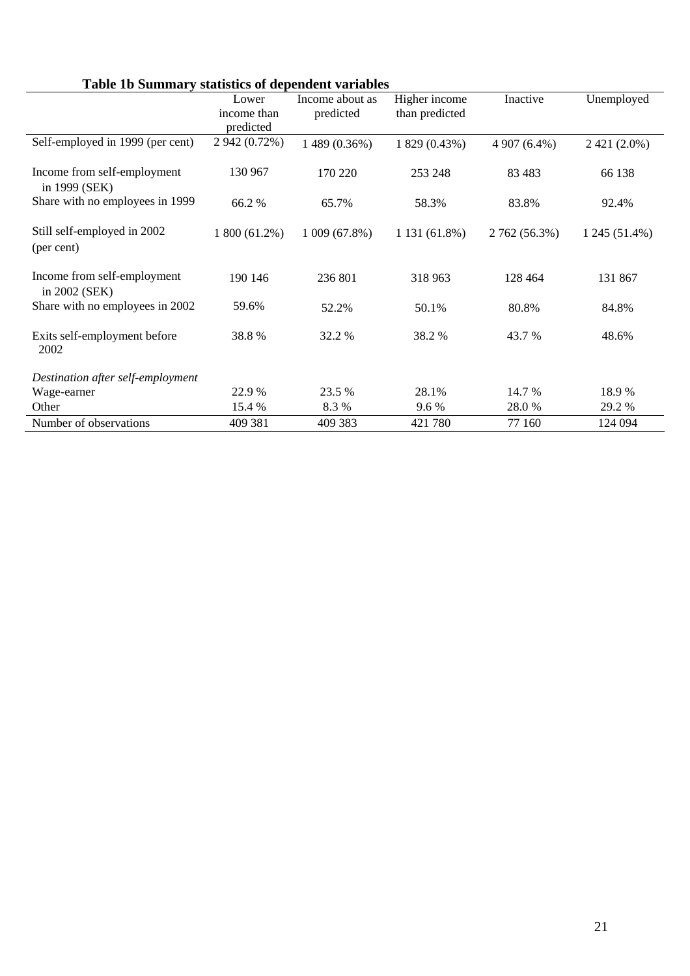# **Table 1b Summary statistics of dependent variables**

| <b>Table TD Summary statistics of dependent variables</b> |               |                 |                |               |                |
|-----------------------------------------------------------|---------------|-----------------|----------------|---------------|----------------|
|                                                           | Lower         | Income about as | Higher income  | Inactive      | Unemployed     |
|                                                           | income than   | predicted       | than predicted |               |                |
|                                                           | predicted     |                 |                |               |                |
| Self-employed in 1999 (per cent)                          | 2 942 (0.72%) | 1 489 (0.36%)   | 1 829 (0.43%)  | 4 907 (6.4%)  | $2421(2.0\%)$  |
| Income from self-employment<br>in 1999 (SEK)              | 130 967       | 170 220         | 253 248        | 83 4 83       | 66 138         |
| Share with no employees in 1999                           | 66.2%         | 65.7%           | 58.3%          | 83.8%         | 92.4%          |
| Still self-employed in 2002<br>(per cent)                 | 1 800 (61.2%) | 1009(67.8%)     | 1 131 (61.8%)  | 2 762 (56.3%) | $1245(51.4\%)$ |
| Income from self-employment<br>in 2002 (SEK)              | 190 146       | 236 801         | 318 963        | 128 464       | 131 867        |
| Share with no employees in 2002                           | 59.6%         | 52.2%           | 50.1%          | 80.8%         | 84.8%          |
| Exits self-employment before<br>2002                      | 38.8%         | 32.2 %          | 38.2 %         | 43.7 %        | 48.6%          |
| Destination after self-employment                         |               |                 |                |               |                |
| Wage-earner                                               | 22.9 %        | 23.5 %          | 28.1%          | 14.7 %        | 18.9 %         |
| Other                                                     | 15.4 %        | 8.3%            | $9.6\%$        | 28.0 %        | 29.2 %         |
| Number of observations                                    | 409 381       | 409 383         | 421 780        | 77 160        | 124 094        |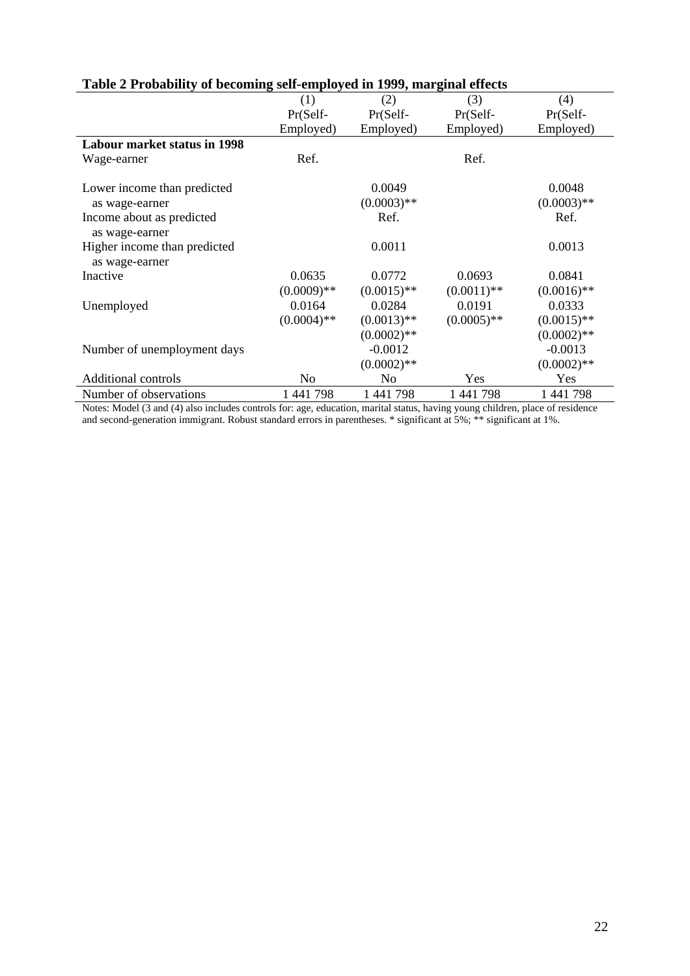| raole = 1 roomonly or occoming sen_employed in 1999, marginal enection |               |                |               |               |
|------------------------------------------------------------------------|---------------|----------------|---------------|---------------|
|                                                                        | (1)           | (2)            | (3)           | (4)           |
|                                                                        | Pr(Self-      | Pr(Self-       | Pr(Self-      | Pr(Self-      |
|                                                                        | Employed)     | Employed)      | Employed)     | Employed)     |
| <b>Labour market status in 1998</b>                                    |               |                |               |               |
| Wage-earner                                                            | Ref.          |                | Ref.          |               |
|                                                                        |               |                |               |               |
| Lower income than predicted                                            |               | 0.0049         |               | 0.0048        |
| as wage-earner                                                         |               | $(0.0003)$ **  |               | $(0.0003)$ ** |
| Income about as predicted                                              |               | Ref.           |               | Ref.          |
| as wage-earner                                                         |               |                |               |               |
| Higher income than predicted                                           |               | 0.0011         |               | 0.0013        |
| as wage-earner                                                         |               |                |               |               |
| Inactive                                                               | 0.0635        | 0.0772         | 0.0693        | 0.0841        |
|                                                                        | $(0.0009)$ ** | $(0.0015)$ **  | $(0.0011)$ ** | $(0.0016)$ ** |
| Unemployed                                                             | 0.0164        | 0.0284         | 0.0191        | 0.0333        |
|                                                                        | $(0.0004)$ ** | $(0.0013)$ **  | $(0.0005)$ ** | $(0.0015)$ ** |
|                                                                        |               | $(0.0002)$ **  |               | $(0.0002)$ ** |
| Number of unemployment days                                            |               | $-0.0012$      |               | $-0.0013$     |
|                                                                        |               | $(0.0002)$ **  |               | $(0.0002)$ ** |
| <b>Additional controls</b>                                             | No            | N <sub>0</sub> | Yes           | Yes           |
| Number of observations                                                 | 1 441 798     | 1 441 798      | 1 441 798     | 1 441 798     |

# **Table 2 Probability of becoming self-employed in 1999, marginal effects**

Notes: Model (3 and (4) also includes controls for: age, education, marital status, having young children, place of residence and second-generation immigrant. Robust standard errors in parentheses. \* significant at 5%; \*\* significant at 1%.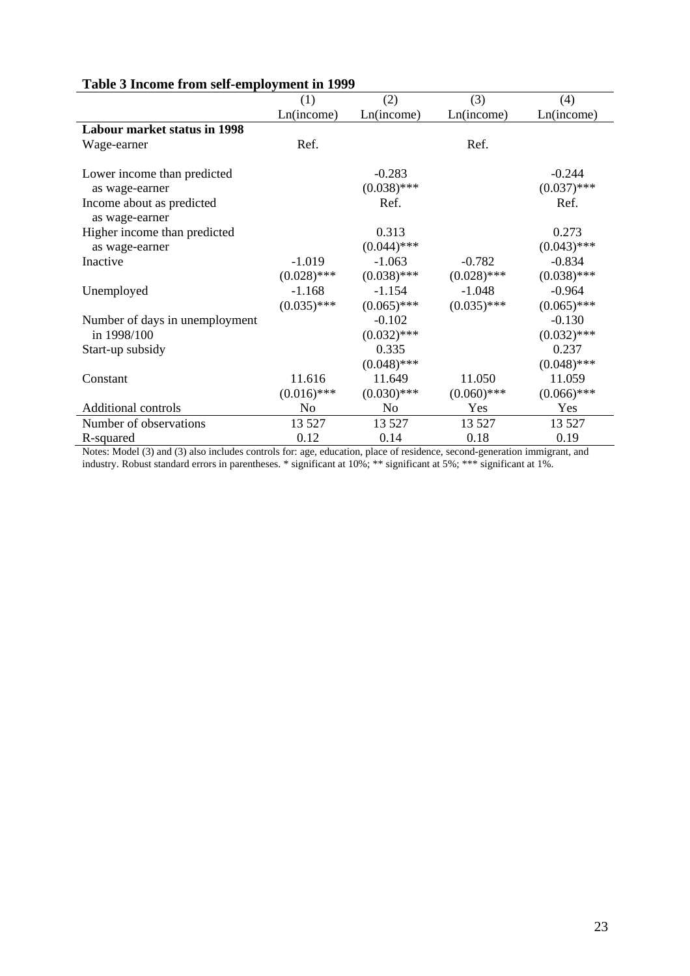| гимн о нисопис п они мен спирго унисители 1999 |                |               |               |               |
|------------------------------------------------|----------------|---------------|---------------|---------------|
|                                                | (1)            | (2)           | (3)           | (4)           |
|                                                | Ln(income)     | Ln(income)    | Ln(income)    | Ln(income)    |
| <b>Labour market status in 1998</b>            |                |               |               |               |
| Wage-earner                                    | Ref.           |               | Ref.          |               |
|                                                |                |               |               |               |
| Lower income than predicted                    |                | $-0.283$      |               | $-0.244$      |
| as wage-earner                                 |                | $(0.038)$ *** |               | $(0.037)$ *** |
| Income about as predicted                      |                | Ref.          |               | Ref.          |
| as wage-earner                                 |                |               |               |               |
| Higher income than predicted                   |                | 0.313         |               | 0.273         |
| as wage-earner                                 |                | $(0.044)$ *** |               | $(0.043)$ *** |
| Inactive                                       | $-1.019$       | $-1.063$      | $-0.782$      | $-0.834$      |
|                                                | $(0.028)$ ***  | $(0.038)$ *** | $(0.028)$ *** | $(0.038)$ *** |
| Unemployed                                     | $-1.168$       | $-1.154$      | $-1.048$      | $-0.964$      |
|                                                | $(0.035)$ ***  | $(0.065)$ *** | $(0.035)$ *** | $(0.065)$ *** |
| Number of days in unemployment                 |                | $-0.102$      |               | $-0.130$      |
| in 1998/100                                    |                | $(0.032)$ *** |               | $(0.032)$ *** |
| Start-up subsidy                               |                | 0.335         |               | 0.237         |
|                                                |                | $(0.048)$ *** |               | $(0.048)$ *** |
| Constant                                       | 11.616         | 11.649        | 11.050        | 11.059        |
|                                                | $(0.016)$ ***  | $(0.030)$ *** | $(0.060)$ *** | $(0.066)$ *** |
| Additional controls                            | N <sub>0</sub> | No            | Yes           | Yes           |
| Number of observations                         | 13 5 27        | 13 5 27       | 13 5 27       | 13 5 27       |
| R-squared                                      | 0.12           | 0.14          | 0.18          | 0.19          |

## **Table 3 Income from self-employment in 1999**

Notes: Model (3) and (3) also includes controls for: age, education, place of residence, second-generation immigrant, and industry. Robust standard errors in parentheses. \* significant at 10%; \*\* significant at 5%; \*\*\* significant at 1%.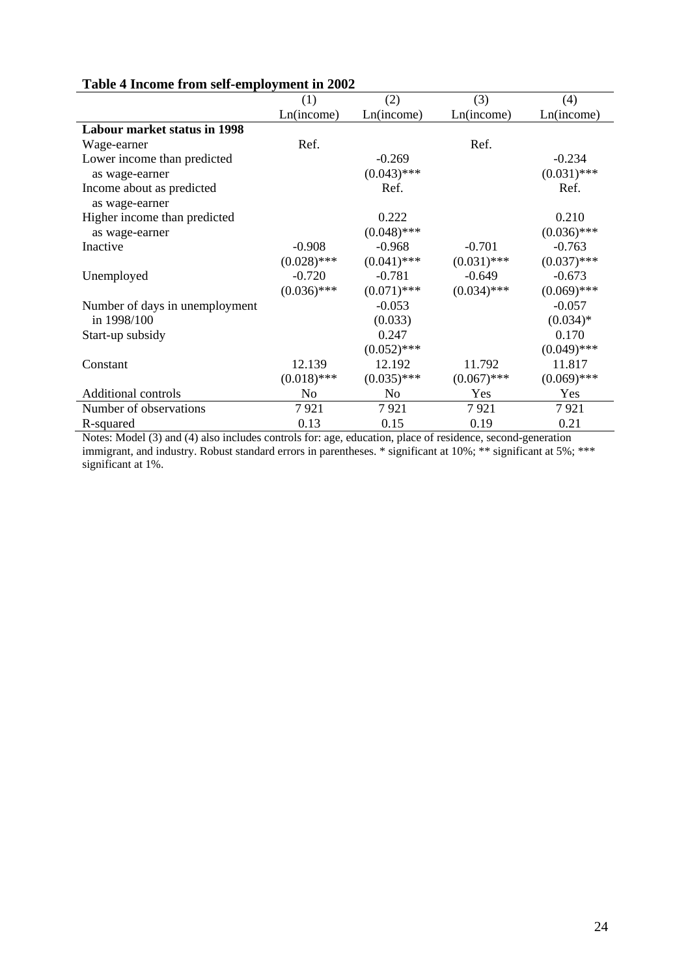|                                     | (1)            | (2)           | (3)           | (4)           |
|-------------------------------------|----------------|---------------|---------------|---------------|
|                                     | Ln(income)     | Ln(income)    | Ln(income)    | Ln(income)    |
| <b>Labour market status in 1998</b> |                |               |               |               |
| Wage-earner                         | Ref.           |               | Ref.          |               |
| Lower income than predicted         |                | $-0.269$      |               | $-0.234$      |
| as wage-earner                      |                | $(0.043)$ *** |               | $(0.031)$ *** |
| Income about as predicted           |                | Ref.          |               | Ref.          |
| as wage-earner                      |                |               |               |               |
| Higher income than predicted        |                | 0.222         |               | 0.210         |
| as wage-earner                      |                | $(0.048)$ *** |               | $(0.036)$ *** |
| Inactive                            | $-0.908$       | $-0.968$      | $-0.701$      | $-0.763$      |
|                                     | $(0.028)$ ***  | $(0.041)$ *** | $(0.031)$ *** | $(0.037)$ *** |
| Unemployed                          | $-0.720$       | $-0.781$      | $-0.649$      | $-0.673$      |
|                                     | $(0.036)$ ***  | $(0.071)$ *** | $(0.034)$ *** | $(0.069)$ *** |
| Number of days in unemployment      |                | $-0.053$      |               | $-0.057$      |
| in 1998/100                         |                | (0.033)       |               | $(0.034)*$    |
| Start-up subsidy                    |                | 0.247         |               | 0.170         |
|                                     |                | $(0.052)$ *** |               | $(0.049)$ *** |
| Constant                            | 12.139         | 12.192        | 11.792        | 11.817        |
|                                     | $(0.018)$ ***  | $(0.035)$ *** | $(0.067)$ *** | $(0.069)$ *** |
| <b>Additional controls</b>          | N <sub>0</sub> | No            | Yes           | Yes           |
| Number of observations              | 7921           | 7921          | 7921          | 7921          |
| R-squared                           | 0.13           | 0.15          | 0.19          | 0.21          |

# **Table 4 Income from self-employment in 2002**

Notes: Model (3) and (4) also includes controls for: age, education, place of residence, second-generation immigrant, and industry. Robust standard errors in parentheses. \* significant at 10%; \*\* significant at 5%; \*\*\* significant at 1%.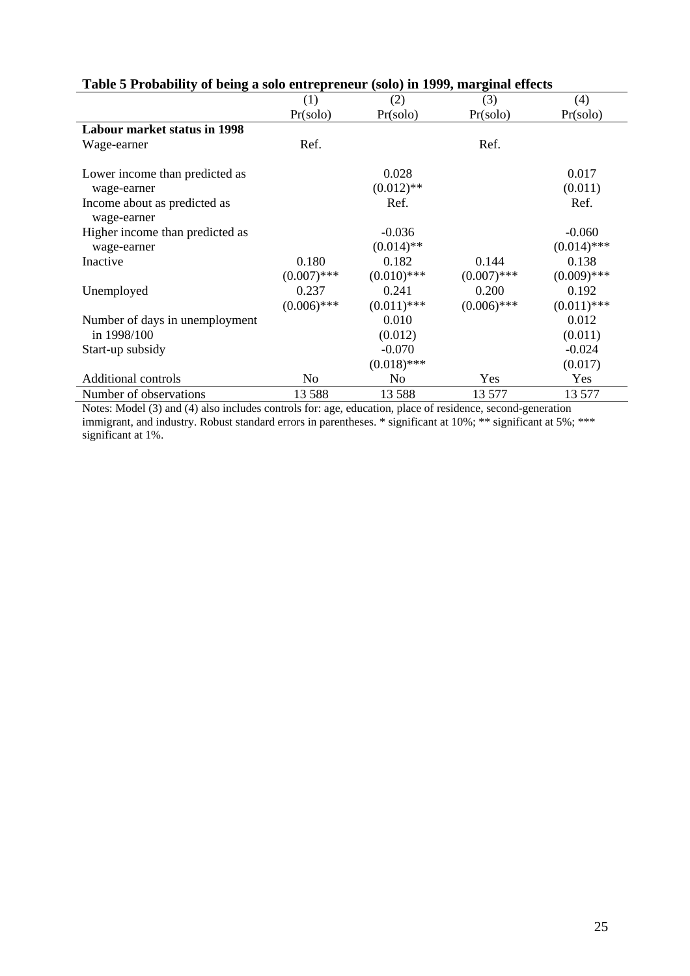| rabic $\sigma$ reporting to being a bold entrepreneur (bold) in 1999, marginar enced |               |               |               |               |
|--------------------------------------------------------------------------------------|---------------|---------------|---------------|---------------|
|                                                                                      | (1)           | (2)           | (3)           | (4)           |
|                                                                                      | Pr(solo)      | Pr(solo)      | Pr(solo)      | Pr(solo)      |
| <b>Labour market status in 1998</b>                                                  |               |               |               |               |
| Wage-earner                                                                          | Ref.          |               | Ref.          |               |
| Lower income than predicted as                                                       |               | 0.028         |               | 0.017         |
| wage-earner                                                                          |               | $(0.012)$ **  |               | (0.011)       |
| Income about as predicted as<br>wage-earner                                          |               | Ref.          |               | Ref.          |
| Higher income than predicted as                                                      |               | $-0.036$      |               | $-0.060$      |
| wage-earner                                                                          |               | $(0.014)$ **  |               | $(0.014)$ *** |
| Inactive                                                                             | 0.180         | 0.182         | 0.144         | 0.138         |
|                                                                                      | $(0.007)$ *** | $(0.010)$ *** | $(0.007)$ *** | $(0.009)$ *** |
| Unemployed                                                                           | 0.237         | 0.241         | 0.200         | 0.192         |
|                                                                                      | $(0.006)$ *** | $(0.011)$ *** | $(0.006)$ *** | $(0.011)$ *** |
| Number of days in unemployment                                                       |               | 0.010         |               | 0.012         |
| in 1998/100                                                                          |               | (0.012)       |               | (0.011)       |
| Start-up subsidy                                                                     |               | $-0.070$      |               | $-0.024$      |
|                                                                                      |               | $(0.018)$ *** |               | (0.017)       |
| <b>Additional controls</b>                                                           | No            | No            | Yes           | Yes           |
| Number of observations                                                               | 13 588        | 13 5 8 8      | 13 577        | 13 577        |

# **Table 5 Probability of being a solo entrepreneur (solo) in 1999, marginal effects**

Notes: Model (3) and (4) also includes controls for: age, education, place of residence, second-generation immigrant, and industry. Robust standard errors in parentheses. \* significant at 10%; \*\* significant at 5%; \*\*\* significant at 1%.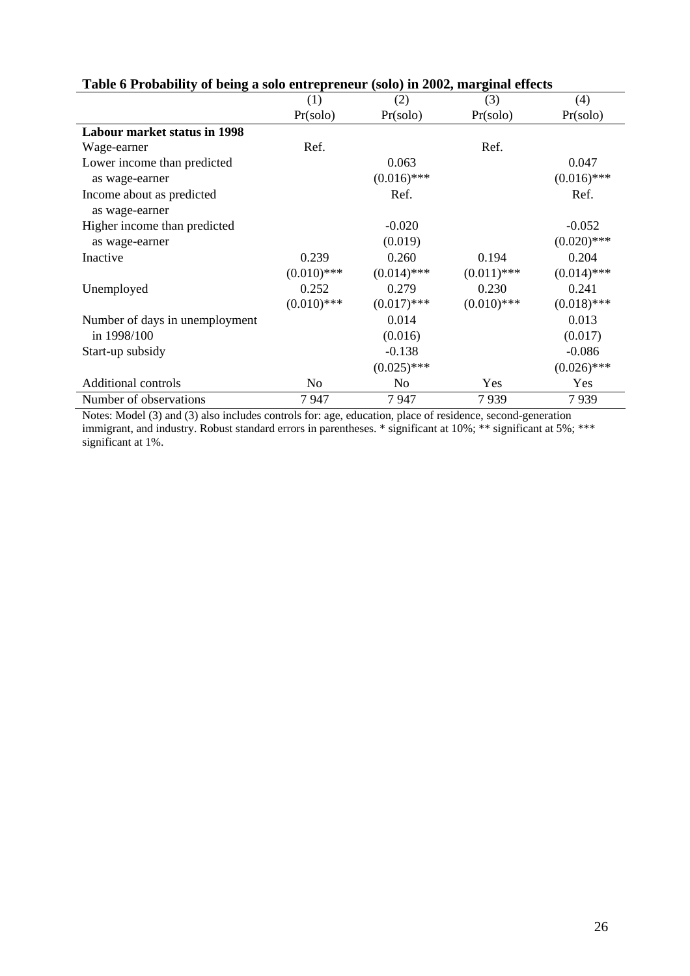|                                     | (1)           | (2)            | (3)           | (4)           |
|-------------------------------------|---------------|----------------|---------------|---------------|
|                                     | Pr(solo)      | Pr(solo)       | Pr(solo)      | Pr(solo)      |
| <b>Labour market status in 1998</b> |               |                |               |               |
| Wage-earner                         | Ref.          |                | Ref.          |               |
| Lower income than predicted         |               | 0.063          |               | 0.047         |
| as wage-earner                      |               | $(0.016)$ ***  |               | $(0.016)$ *** |
| Income about as predicted           |               | Ref.           |               | Ref.          |
| as wage-earner                      |               |                |               |               |
| Higher income than predicted        |               | $-0.020$       |               | $-0.052$      |
| as wage-earner                      |               | (0.019)        |               | $(0.020)$ *** |
| Inactive                            | 0.239         | 0.260          | 0.194         | 0.204         |
|                                     | $(0.010)$ *** | $(0.014)$ ***  | $(0.011)$ *** | $(0.014)$ *** |
| Unemployed                          | 0.252         | 0.279          | 0.230         | 0.241         |
|                                     | $(0.010)$ *** | $(0.017)$ ***  | $(0.010)$ *** | $(0.018)$ *** |
| Number of days in unemployment      |               | 0.014          |               | 0.013         |
| in 1998/100                         |               | (0.016)        |               | (0.017)       |
| Start-up subsidy                    |               | $-0.138$       |               | $-0.086$      |
|                                     |               | $(0.025)$ ***  |               | $(0.026)$ *** |
| <b>Additional controls</b>          | No            | N <sub>0</sub> | Yes           | Yes           |
| Number of observations              | 7947          | 7947           | 7939          | 7939          |

# **Table 6 Probability of being a solo entrepreneur (solo) in 2002, marginal effects**

Notes: Model (3) and (3) also includes controls for: age, education, place of residence, second-generation immigrant, and industry. Robust standard errors in parentheses. \* significant at 10%; \*\* significant at 5%; \*\*\* significant at 1%.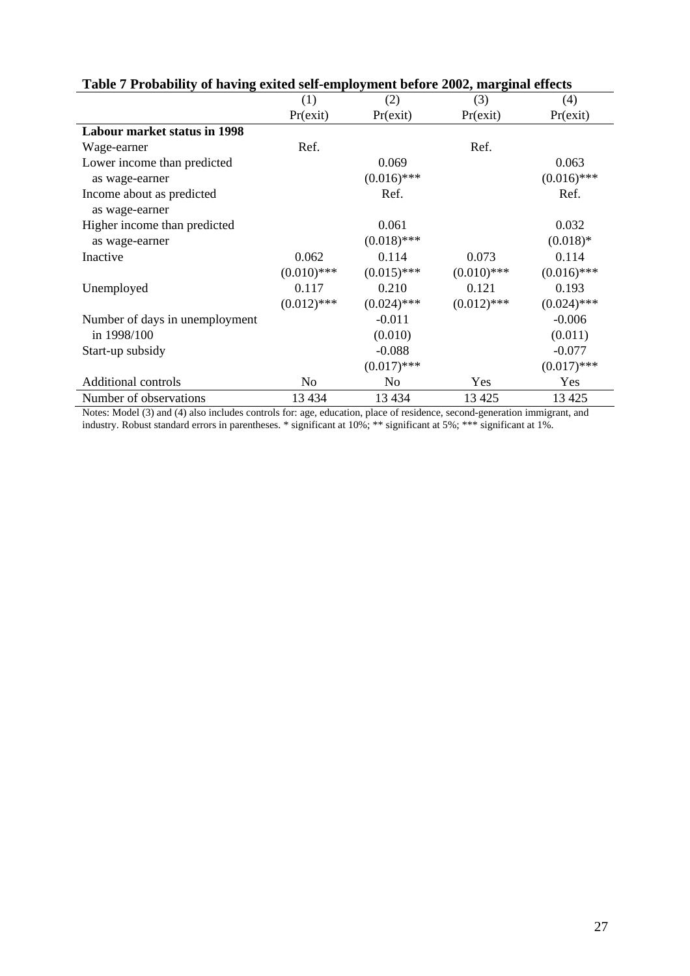|                                     | (1)           | (2)           | (3)           | (4)           |
|-------------------------------------|---------------|---------------|---------------|---------------|
|                                     | Pr(exit)      | Pr(exit)      | Pr(exit)      | Pr(exit)      |
| <b>Labour market status in 1998</b> |               |               |               |               |
| Wage-earner                         | Ref.          |               | Ref.          |               |
| Lower income than predicted         |               | 0.069         |               | 0.063         |
| as wage-earner                      |               | $(0.016)$ *** |               | $(0.016)$ *** |
| Income about as predicted           |               | Ref.          |               | Ref.          |
| as wage-earner                      |               |               |               |               |
| Higher income than predicted        |               | 0.061         |               | 0.032         |
| as wage-earner                      |               | $(0.018)$ *** |               | $(0.018)$ *   |
| Inactive                            | 0.062         | 0.114         | 0.073         | 0.114         |
|                                     | $(0.010)$ *** | $(0.015)$ *** | $(0.010)$ *** | $(0.016)$ *** |
| Unemployed                          | 0.117         | 0.210         | 0.121         | 0.193         |
|                                     | $(0.012)$ *** | $(0.024)$ *** | $(0.012)$ *** | $(0.024)$ *** |
| Number of days in unemployment      |               | $-0.011$      |               | $-0.006$      |
| in 1998/100                         |               | (0.010)       |               | (0.011)       |
| Start-up subsidy                    |               | $-0.088$      |               | $-0.077$      |
|                                     |               | $(0.017)$ *** |               | $(0.017)$ *** |
| <b>Additional controls</b>          | No            | No            | Yes           | Yes           |
| Number of observations              | 13 4 34       | 13 4 34       | 13 4 25       | 13 4 25       |

# **Table 7 Probability of having exited self-employment before 2002, marginal effects**

Notes: Model (3) and (4) also includes controls for: age, education, place of residence, second-generation immigrant, and industry. Robust standard errors in parentheses. \* significant at 10%; \*\* significant at 5%; \*\*\* significant at 1%.